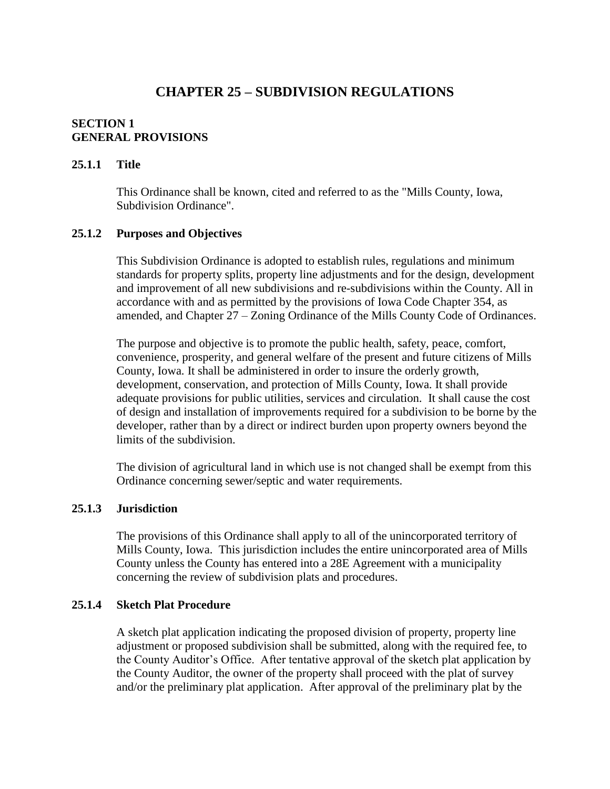# **CHAPTER 25 – SUBDIVISION REGULATIONS**

#### **SECTION 1 GENERAL PROVISIONS**

#### **25.1.1 Title**

This Ordinance shall be known, cited and referred to as the "Mills County, Iowa, Subdivision Ordinance".

#### **25.1.2 Purposes and Objectives**

This Subdivision Ordinance is adopted to establish rules, regulations and minimum standards for property splits, property line adjustments and for the design, development and improvement of all new subdivisions and re-subdivisions within the County. All in accordance with and as permitted by the provisions of Iowa Code Chapter 354, as amended, and Chapter 27 – Zoning Ordinance of the Mills County Code of Ordinances.

The purpose and objective is to promote the public health, safety, peace, comfort, convenience, prosperity, and general welfare of the present and future citizens of Mills County, Iowa. It shall be administered in order to insure the orderly growth, development, conservation, and protection of Mills County, Iowa. It shall provide adequate provisions for public utilities, services and circulation. It shall cause the cost of design and installation of improvements required for a subdivision to be borne by the developer, rather than by a direct or indirect burden upon property owners beyond the limits of the subdivision.

The division of agricultural land in which use is not changed shall be exempt from this Ordinance concerning sewer/septic and water requirements.

#### **25.1.3 Jurisdiction**

The provisions of this Ordinance shall apply to all of the unincorporated territory of Mills County, Iowa. This jurisdiction includes the entire unincorporated area of Mills County unless the County has entered into a 28E Agreement with a municipality concerning the review of subdivision plats and procedures.

### **25.1.4 Sketch Plat Procedure**

A sketch plat application indicating the proposed division of property, property line adjustment or proposed subdivision shall be submitted, along with the required fee, to the County Auditor's Office. After tentative approval of the sketch plat application by the County Auditor, the owner of the property shall proceed with the plat of survey and/or the preliminary plat application. After approval of the preliminary plat by the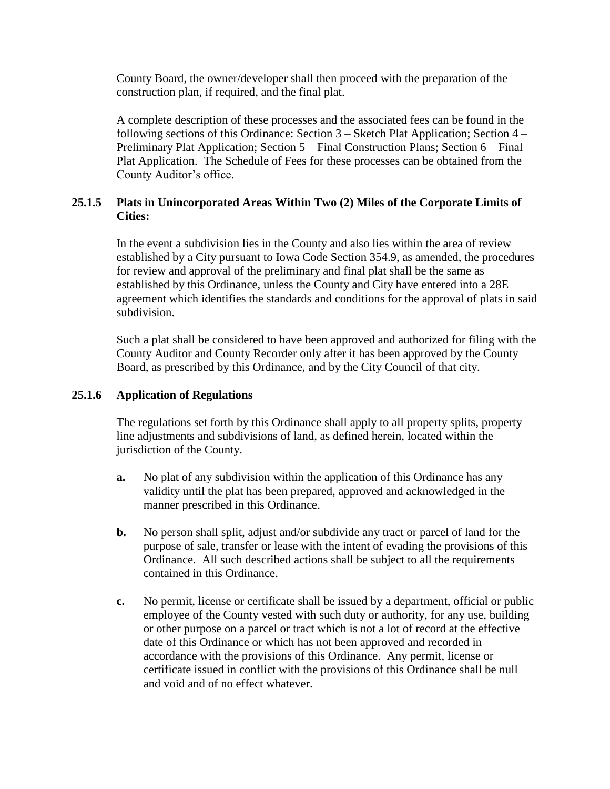County Board, the owner/developer shall then proceed with the preparation of the construction plan, if required, and the final plat.

A complete description of these processes and the associated fees can be found in the following sections of this Ordinance: Section 3 – Sketch Plat Application; Section 4 – Preliminary Plat Application; Section 5 – Final Construction Plans; Section 6 – Final Plat Application. The Schedule of Fees for these processes can be obtained from the County Auditor's office.

## **25.1.5 Plats in Unincorporated Areas Within Two (2) Miles of the Corporate Limits of Cities:**

In the event a subdivision lies in the County and also lies within the area of review established by a City pursuant to Iowa Code Section 354.9, as amended, the procedures for review and approval of the preliminary and final plat shall be the same as established by this Ordinance, unless the County and City have entered into a 28E agreement which identifies the standards and conditions for the approval of plats in said subdivision.

Such a plat shall be considered to have been approved and authorized for filing with the County Auditor and County Recorder only after it has been approved by the County Board, as prescribed by this Ordinance, and by the City Council of that city.

### **25.1.6 Application of Regulations**

The regulations set forth by this Ordinance shall apply to all property splits, property line adjustments and subdivisions of land, as defined herein, located within the jurisdiction of the County.

- **a.** No plat of any subdivision within the application of this Ordinance has any validity until the plat has been prepared, approved and acknowledged in the manner prescribed in this Ordinance.
- **b.** No person shall split, adjust and/or subdivide any tract or parcel of land for the purpose of sale, transfer or lease with the intent of evading the provisions of this Ordinance. All such described actions shall be subject to all the requirements contained in this Ordinance.
- **c.** No permit, license or certificate shall be issued by a department, official or public employee of the County vested with such duty or authority, for any use, building or other purpose on a parcel or tract which is not a lot of record at the effective date of this Ordinance or which has not been approved and recorded in accordance with the provisions of this Ordinance. Any permit, license or certificate issued in conflict with the provisions of this Ordinance shall be null and void and of no effect whatever.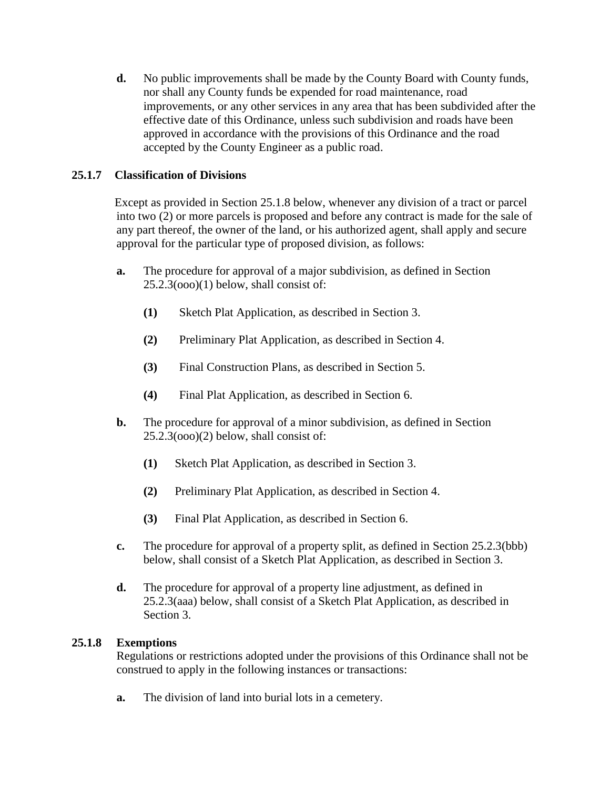**d.** No public improvements shall be made by the County Board with County funds, nor shall any County funds be expended for road maintenance, road improvements, or any other services in any area that has been subdivided after the effective date of this Ordinance, unless such subdivision and roads have been approved in accordance with the provisions of this Ordinance and the road accepted by the County Engineer as a public road.

## **25.1.7 Classification of Divisions**

Except as provided in Section 25.1.8 below, whenever any division of a tract or parcel into two (2) or more parcels is proposed and before any contract is made for the sale of any part thereof, the owner of the land, or his authorized agent, shall apply and secure approval for the particular type of proposed division, as follows:

- **a.** The procedure for approval of a major subdivision, as defined in Section 25.2.3(ooo)(1) below, shall consist of:
	- **(1)** Sketch Plat Application, as described in Section 3.
	- **(2)** Preliminary Plat Application, as described in Section 4.
	- **(3)** Final Construction Plans, as described in Section 5.
	- **(4)** Final Plat Application, as described in Section 6.
- **b.** The procedure for approval of a minor subdivision, as defined in Section 25.2.3(ooo)(2) below, shall consist of:
	- **(1)** Sketch Plat Application, as described in Section 3.
	- **(2)** Preliminary Plat Application, as described in Section 4.
	- **(3)** Final Plat Application, as described in Section 6.
- **c.** The procedure for approval of a property split, as defined in Section 25.2.3(bbb) below, shall consist of a Sketch Plat Application, as described in Section 3.
- **d.** The procedure for approval of a property line adjustment, as defined in 25.2.3(aaa) below, shall consist of a Sketch Plat Application, as described in Section 3.

## **25.1.8 Exemptions**

Regulations or restrictions adopted under the provisions of this Ordinance shall not be construed to apply in the following instances or transactions:

**a.** The division of land into burial lots in a cemetery.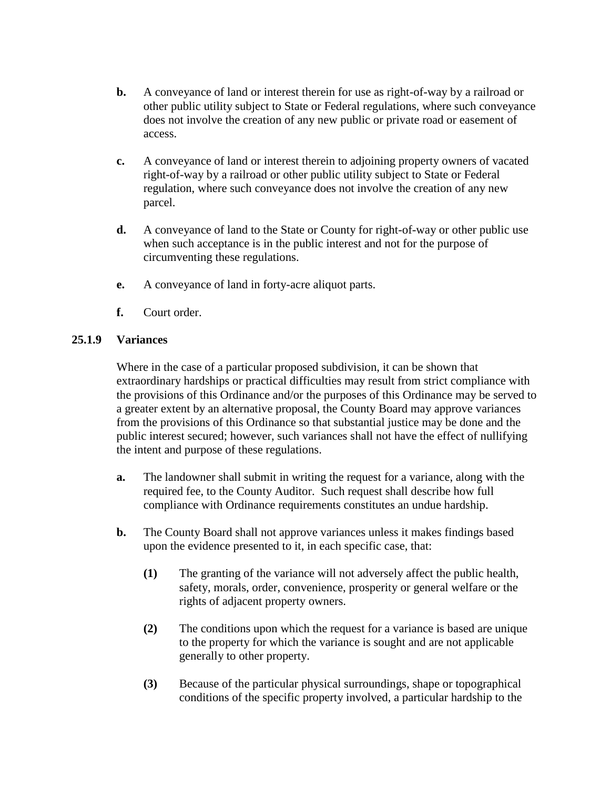- **b.** A conveyance of land or interest therein for use as right-of-way by a railroad or other public utility subject to State or Federal regulations, where such conveyance does not involve the creation of any new public or private road or easement of access.
- **c.** A conveyance of land or interest therein to adjoining property owners of vacated right-of-way by a railroad or other public utility subject to State or Federal regulation, where such conveyance does not involve the creation of any new parcel.
- **d.** A conveyance of land to the State or County for right-of-way or other public use when such acceptance is in the public interest and not for the purpose of circumventing these regulations.
- **e.** A conveyance of land in forty-acre aliquot parts.
- **f.** Court order.

## **25.1.9 Variances**

Where in the case of a particular proposed subdivision, it can be shown that extraordinary hardships or practical difficulties may result from strict compliance with the provisions of this Ordinance and/or the purposes of this Ordinance may be served to a greater extent by an alternative proposal, the County Board may approve variances from the provisions of this Ordinance so that substantial justice may be done and the public interest secured; however, such variances shall not have the effect of nullifying the intent and purpose of these regulations.

- **a.** The landowner shall submit in writing the request for a variance, along with the required fee, to the County Auditor. Such request shall describe how full compliance with Ordinance requirements constitutes an undue hardship.
- **b.** The County Board shall not approve variances unless it makes findings based upon the evidence presented to it, in each specific case, that:
	- **(1)** The granting of the variance will not adversely affect the public health, safety, morals, order, convenience, prosperity or general welfare or the rights of adjacent property owners.
	- **(2)** The conditions upon which the request for a variance is based are unique to the property for which the variance is sought and are not applicable generally to other property.
	- **(3)** Because of the particular physical surroundings, shape or topographical conditions of the specific property involved, a particular hardship to the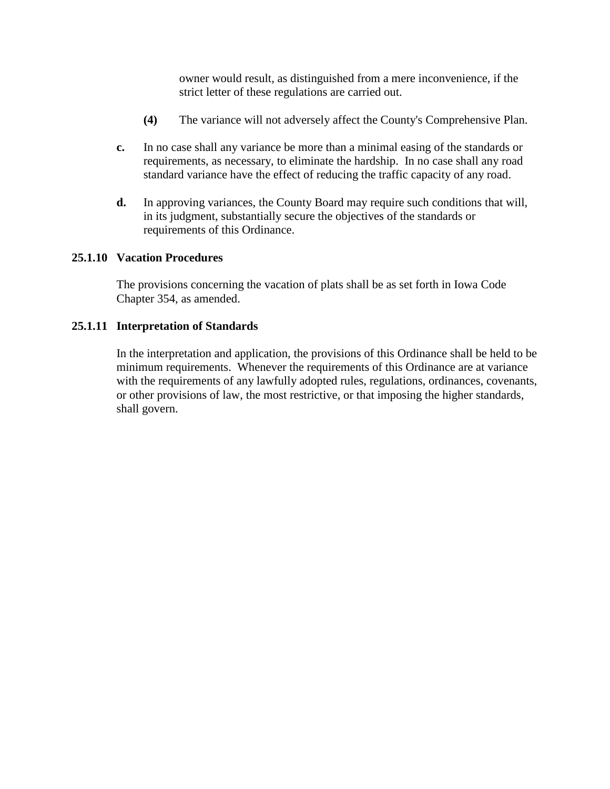owner would result, as distinguished from a mere inconvenience, if the strict letter of these regulations are carried out.

- **(4)** The variance will not adversely affect the County's Comprehensive Plan.
- **c.** In no case shall any variance be more than a minimal easing of the standards or requirements, as necessary, to eliminate the hardship. In no case shall any road standard variance have the effect of reducing the traffic capacity of any road.
- **d.** In approving variances, the County Board may require such conditions that will, in its judgment, substantially secure the objectives of the standards or requirements of this Ordinance.

#### **25.1.10 Vacation Procedures**

The provisions concerning the vacation of plats shall be as set forth in Iowa Code Chapter 354, as amended.

#### **25.1.11 Interpretation of Standards**

In the interpretation and application, the provisions of this Ordinance shall be held to be minimum requirements. Whenever the requirements of this Ordinance are at variance with the requirements of any lawfully adopted rules, regulations, ordinances, covenants, or other provisions of law, the most restrictive, or that imposing the higher standards, shall govern.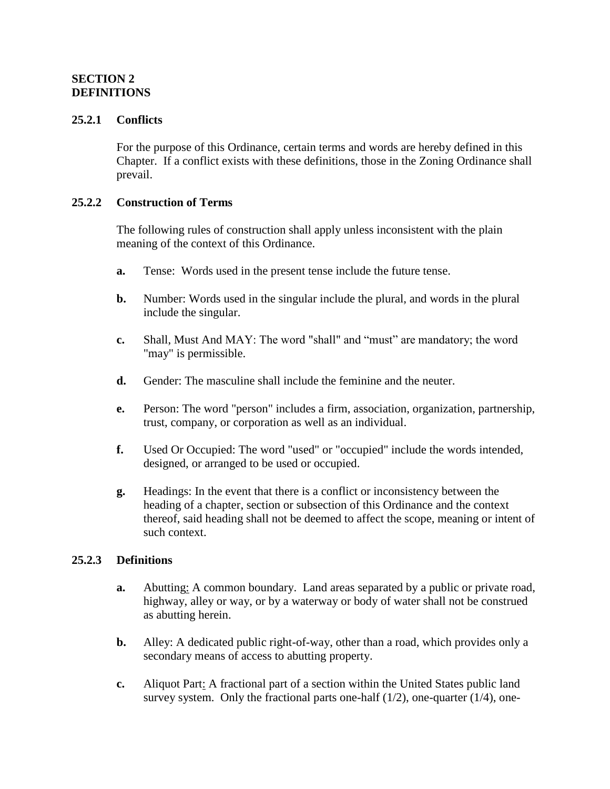## **SECTION 2 DEFINITIONS**

#### **25.2.1 Conflicts**

For the purpose of this Ordinance, certain terms and words are hereby defined in this Chapter. If a conflict exists with these definitions, those in the Zoning Ordinance shall prevail.

### **25.2.2 Construction of Terms**

The following rules of construction shall apply unless inconsistent with the plain meaning of the context of this Ordinance.

- **a.** Tense: Words used in the present tense include the future tense.
- **b.** Number: Words used in the singular include the plural, and words in the plural include the singular.
- **c.** Shall, Must And MAY: The word "shall" and "must" are mandatory; the word "may" is permissible.
- **d.** Gender: The masculine shall include the feminine and the neuter.
- **e.** Person: The word "person" includes a firm, association, organization, partnership, trust, company, or corporation as well as an individual.
- **f.** Used Or Occupied: The word "used" or "occupied" include the words intended, designed, or arranged to be used or occupied.
- **g.** Headings: In the event that there is a conflict or inconsistency between the heading of a chapter, section or subsection of this Ordinance and the context thereof, said heading shall not be deemed to affect the scope, meaning or intent of such context.

#### **25.2.3 Definitions**

- **a.** Abutting: A common boundary. Land areas separated by a public or private road, highway, alley or way, or by a waterway or body of water shall not be construed as abutting herein.
- **b.** Alley: A dedicated public right-of-way, other than a road, which provides only a secondary means of access to abutting property.
- **c.** Aliquot Part: A fractional part of a section within the United States public land survey system. Only the fractional parts one-half  $(1/2)$ , one-quarter  $(1/4)$ , one-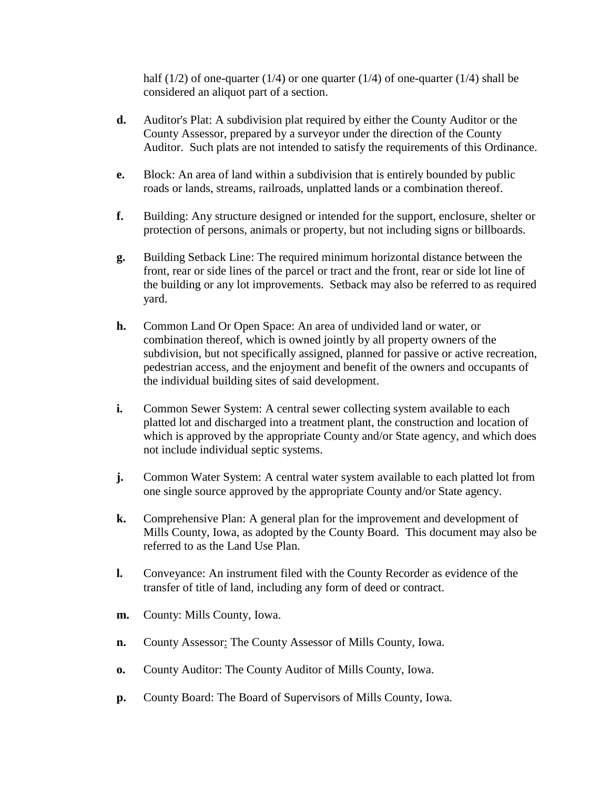half (1/2) of one-quarter (1/4) or one quarter (1/4) of one-quarter (1/4) shall be considered an aliquot part of a section.

- **d.** Auditor's Plat: A subdivision plat required by either the County Auditor or the County Assessor, prepared by a surveyor under the direction of the County Auditor. Such plats are not intended to satisfy the requirements of this Ordinance.
- **e.** Block: An area of land within a subdivision that is entirely bounded by public roads or lands, streams, railroads, unplatted lands or a combination thereof.
- **f.** Building: Any structure designed or intended for the support, enclosure, shelter or protection of persons, animals or property, but not including signs or billboards.
- **g.** Building Setback Line: The required minimum horizontal distance between the front, rear or side lines of the parcel or tract and the front, rear or side lot line of the building or any lot improvements. Setback may also be referred to as required yard.
- **h.** Common Land Or Open Space: An area of undivided land or water, or combination thereof, which is owned jointly by all property owners of the subdivision, but not specifically assigned, planned for passive or active recreation, pedestrian access, and the enjoyment and benefit of the owners and occupants of the individual building sites of said development.
- **i.** Common Sewer System: A central sewer collecting system available to each platted lot and discharged into a treatment plant, the construction and location of which is approved by the appropriate County and/or State agency, and which does not include individual septic systems.
- **j.** Common Water System: A central water system available to each platted lot from one single source approved by the appropriate County and/or State agency.
- **k.** Comprehensive Plan: A general plan for the improvement and development of Mills County, Iowa, as adopted by the County Board. This document may also be referred to as the Land Use Plan.
- **l.** Conveyance: An instrument filed with the County Recorder as evidence of the transfer of title of land, including any form of deed or contract.
- **m.** County: Mills County, Iowa.
- **n.** County Assessor: The County Assessor of Mills County, Iowa.
- **o.** County Auditor: The County Auditor of Mills County, Iowa.
- **p.** County Board: The Board of Supervisors of Mills County, Iowa.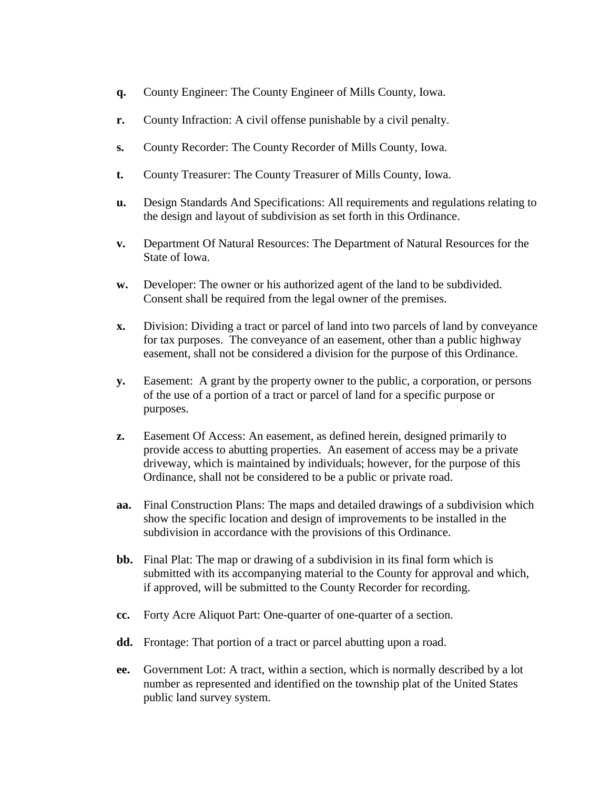- **q.** County Engineer: The County Engineer of Mills County, Iowa.
- **r.** County Infraction: A civil offense punishable by a civil penalty.
- **s.** County Recorder: The County Recorder of Mills County, Iowa.
- **t.** County Treasurer: The County Treasurer of Mills County, Iowa.
- **u.** Design Standards And Specifications: All requirements and regulations relating to the design and layout of subdivision as set forth in this Ordinance.
- **v.** Department Of Natural Resources: The Department of Natural Resources for the State of Iowa.
- **w.** Developer: The owner or his authorized agent of the land to be subdivided. Consent shall be required from the legal owner of the premises.
- **x.** Division: Dividing a tract or parcel of land into two parcels of land by conveyance for tax purposes. The conveyance of an easement, other than a public highway easement, shall not be considered a division for the purpose of this Ordinance.
- **y.** Easement: A grant by the property owner to the public, a corporation, or persons of the use of a portion of a tract or parcel of land for a specific purpose or purposes.
- **z.** Easement Of Access: An easement, as defined herein, designed primarily to provide access to abutting properties. An easement of access may be a private driveway, which is maintained by individuals; however, for the purpose of this Ordinance, shall not be considered to be a public or private road.
- **aa.** Final Construction Plans: The maps and detailed drawings of a subdivision which show the specific location and design of improvements to be installed in the subdivision in accordance with the provisions of this Ordinance.
- **bb.** Final Plat: The map or drawing of a subdivision in its final form which is submitted with its accompanying material to the County for approval and which, if approved, will be submitted to the County Recorder for recording.
- **cc.** Forty Acre Aliquot Part: One-quarter of one-quarter of a section.
- **dd.** Frontage: That portion of a tract or parcel abutting upon a road.
- **ee.** Government Lot: A tract, within a section, which is normally described by a lot number as represented and identified on the township plat of the United States public land survey system.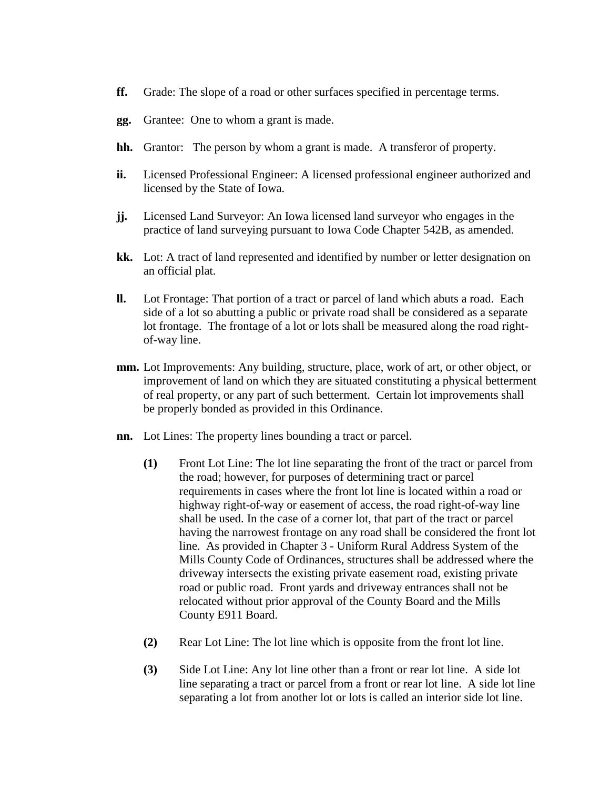- **ff.** Grade: The slope of a road or other surfaces specified in percentage terms.
- **gg.** Grantee: One to whom a grant is made.
- **hh.** Grantor: The person by whom a grant is made. A transferor of property.
- **ii.** Licensed Professional Engineer: A licensed professional engineer authorized and licensed by the State of Iowa.
- **jj.** Licensed Land Surveyor: An Iowa licensed land surveyor who engages in the practice of land surveying pursuant to Iowa Code Chapter 542B, as amended.
- **kk.** Lot: A tract of land represented and identified by number or letter designation on an official plat.
- **ll.** Lot Frontage: That portion of a tract or parcel of land which abuts a road. Each side of a lot so abutting a public or private road shall be considered as a separate lot frontage. The frontage of a lot or lots shall be measured along the road rightof-way line.
- **mm.** Lot Improvements: Any building, structure, place, work of art, or other object, or improvement of land on which they are situated constituting a physical betterment of real property, or any part of such betterment. Certain lot improvements shall be properly bonded as provided in this Ordinance.
- **nn.** Lot Lines: The property lines bounding a tract or parcel.
	- **(1)** Front Lot Line: The lot line separating the front of the tract or parcel from the road; however, for purposes of determining tract or parcel requirements in cases where the front lot line is located within a road or highway right-of-way or easement of access, the road right-of-way line shall be used. In the case of a corner lot, that part of the tract or parcel having the narrowest frontage on any road shall be considered the front lot line. As provided in Chapter 3 - Uniform Rural Address System of the Mills County Code of Ordinances, structures shall be addressed where the driveway intersects the existing private easement road, existing private road or public road. Front yards and driveway entrances shall not be relocated without prior approval of the County Board and the Mills County E911 Board.
	- **(2)** Rear Lot Line: The lot line which is opposite from the front lot line.
	- **(3)** Side Lot Line: Any lot line other than a front or rear lot line. A side lot line separating a tract or parcel from a front or rear lot line. A side lot line separating a lot from another lot or lots is called an interior side lot line.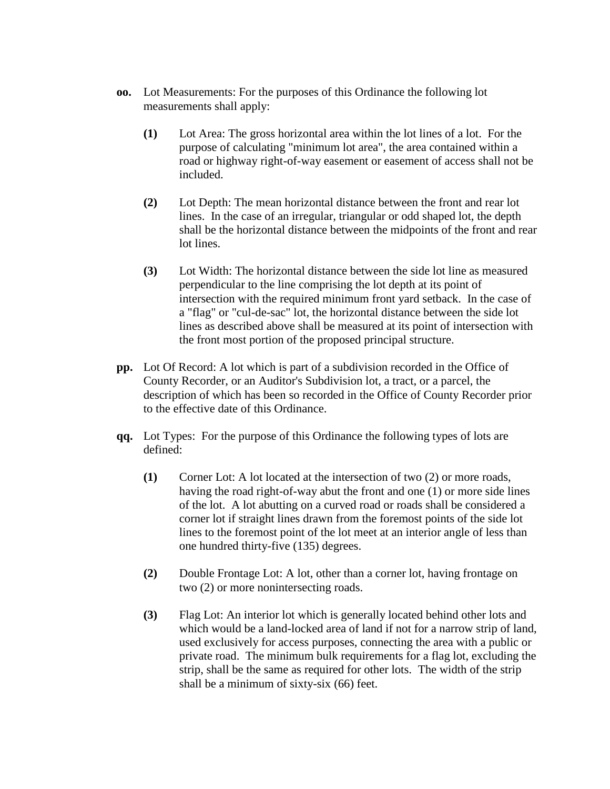- **oo.** Lot Measurements: For the purposes of this Ordinance the following lot measurements shall apply:
	- **(1)** Lot Area: The gross horizontal area within the lot lines of a lot. For the purpose of calculating "minimum lot area", the area contained within a road or highway right-of-way easement or easement of access shall not be included.
	- **(2)** Lot Depth: The mean horizontal distance between the front and rear lot lines. In the case of an irregular, triangular or odd shaped lot, the depth shall be the horizontal distance between the midpoints of the front and rear lot lines.
	- **(3)** Lot Width: The horizontal distance between the side lot line as measured perpendicular to the line comprising the lot depth at its point of intersection with the required minimum front yard setback. In the case of a "flag" or "cul-de-sac" lot, the horizontal distance between the side lot lines as described above shall be measured at its point of intersection with the front most portion of the proposed principal structure.
- **pp.** Lot Of Record: A lot which is part of a subdivision recorded in the Office of County Recorder, or an Auditor's Subdivision lot, a tract, or a parcel, the description of which has been so recorded in the Office of County Recorder prior to the effective date of this Ordinance.
- **qq.** Lot Types: For the purpose of this Ordinance the following types of lots are defined:
	- **(1)** Corner Lot: A lot located at the intersection of two (2) or more roads, having the road right-of-way abut the front and one (1) or more side lines of the lot. A lot abutting on a curved road or roads shall be considered a corner lot if straight lines drawn from the foremost points of the side lot lines to the foremost point of the lot meet at an interior angle of less than one hundred thirty-five (135) degrees.
	- **(2)** Double Frontage Lot: A lot, other than a corner lot, having frontage on two (2) or more nonintersecting roads.
	- **(3)** Flag Lot: An interior lot which is generally located behind other lots and which would be a land-locked area of land if not for a narrow strip of land, used exclusively for access purposes, connecting the area with a public or private road. The minimum bulk requirements for a flag lot, excluding the strip, shall be the same as required for other lots. The width of the strip shall be a minimum of sixty-six (66) feet.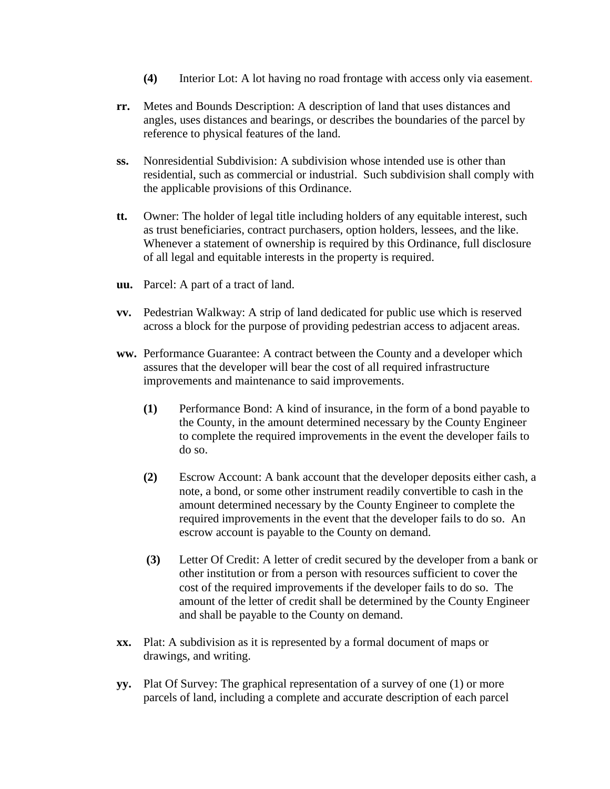- **(4)** Interior Lot: A lot having no road frontage with access only via easement.
- **rr.** Metes and Bounds Description: A description of land that uses distances and angles, uses distances and bearings, or describes the boundaries of the parcel by reference to physical features of the land.
- **ss.** Nonresidential Subdivision: A subdivision whose intended use is other than residential, such as commercial or industrial. Such subdivision shall comply with the applicable provisions of this Ordinance.
- **tt.** Owner: The holder of legal title including holders of any equitable interest, such as trust beneficiaries, contract purchasers, option holders, lessees, and the like. Whenever a statement of ownership is required by this Ordinance, full disclosure of all legal and equitable interests in the property is required.
- **uu.** Parcel: A part of a tract of land.
- **vv.** Pedestrian Walkway: A strip of land dedicated for public use which is reserved across a block for the purpose of providing pedestrian access to adjacent areas.
- **ww.** Performance Guarantee: A contract between the County and a developer which assures that the developer will bear the cost of all required infrastructure improvements and maintenance to said improvements.
	- **(1)** Performance Bond: A kind of insurance, in the form of a bond payable to the County, in the amount determined necessary by the County Engineer to complete the required improvements in the event the developer fails to do so.
	- **(2)** Escrow Account: A bank account that the developer deposits either cash, a note, a bond, or some other instrument readily convertible to cash in the amount determined necessary by the County Engineer to complete the required improvements in the event that the developer fails to do so. An escrow account is payable to the County on demand.
	- **(3)** Letter Of Credit: A letter of credit secured by the developer from a bank or other institution or from a person with resources sufficient to cover the cost of the required improvements if the developer fails to do so. The amount of the letter of credit shall be determined by the County Engineer and shall be payable to the County on demand.
- **xx.** Plat: A subdivision as it is represented by a formal document of maps or drawings, and writing.
- **yy.** Plat Of Survey: The graphical representation of a survey of one (1) or more parcels of land, including a complete and accurate description of each parcel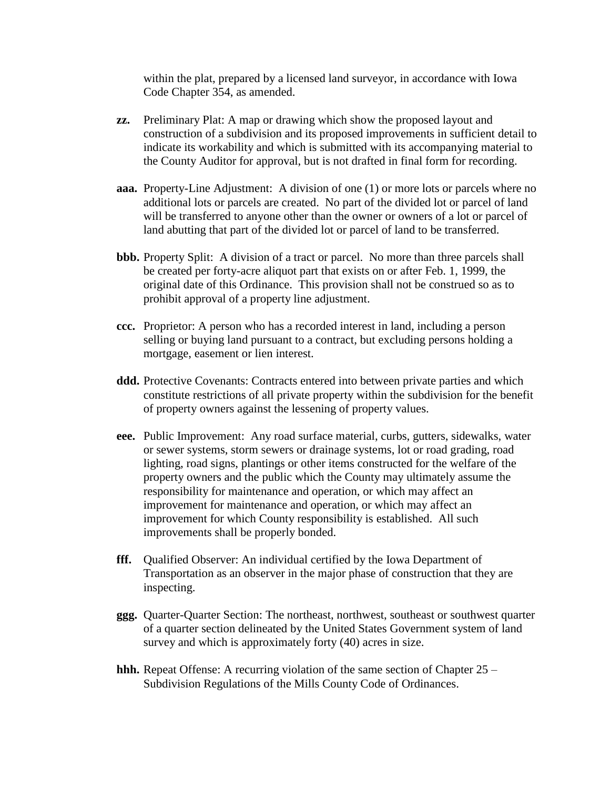within the plat, prepared by a licensed land surveyor, in accordance with Iowa Code Chapter 354, as amended.

- **zz.** Preliminary Plat: A map or drawing which show the proposed layout and construction of a subdivision and its proposed improvements in sufficient detail to indicate its workability and which is submitted with its accompanying material to the County Auditor for approval, but is not drafted in final form for recording.
- **aaa.** Property-Line Adjustment: A division of one (1) or more lots or parcels where no additional lots or parcels are created. No part of the divided lot or parcel of land will be transferred to anyone other than the owner or owners of a lot or parcel of land abutting that part of the divided lot or parcel of land to be transferred.
- **bbb.** Property Split: A division of a tract or parcel. No more than three parcels shall be created per forty-acre aliquot part that exists on or after Feb. 1, 1999, the original date of this Ordinance. This provision shall not be construed so as to prohibit approval of a property line adjustment.
- **ccc.** Proprietor: A person who has a recorded interest in land, including a person selling or buying land pursuant to a contract, but excluding persons holding a mortgage, easement or lien interest.
- **ddd.** Protective Covenants: Contracts entered into between private parties and which constitute restrictions of all private property within the subdivision for the benefit of property owners against the lessening of property values.
- **eee.** Public Improvement: Any road surface material, curbs, gutters, sidewalks, water or sewer systems, storm sewers or drainage systems, lot or road grading, road lighting, road signs, plantings or other items constructed for the welfare of the property owners and the public which the County may ultimately assume the responsibility for maintenance and operation, or which may affect an improvement for maintenance and operation, or which may affect an improvement for which County responsibility is established. All such improvements shall be properly bonded.
- **fff.** Oualified Observer: An individual certified by the Iowa Department of Transportation as an observer in the major phase of construction that they are inspecting.
- **ggg.** Quarter-Quarter Section: The northeast, northwest, southeast or southwest quarter of a quarter section delineated by the United States Government system of land survey and which is approximately forty (40) acres in size.
- **hhh.** Repeat Offense: A recurring violation of the same section of Chapter 25 Subdivision Regulations of the Mills County Code of Ordinances.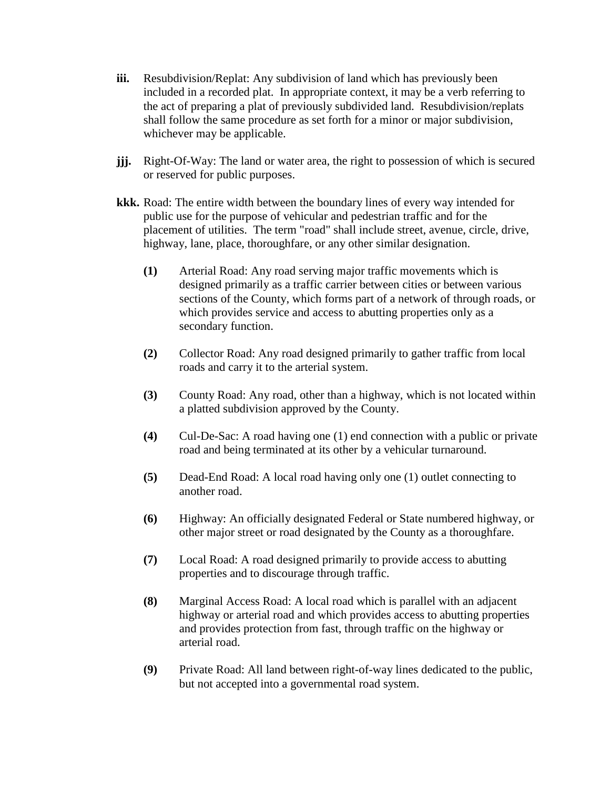- **iii.** Resubdivision/Replat: Any subdivision of land which has previously been included in a recorded plat. In appropriate context, it may be a verb referring to the act of preparing a plat of previously subdivided land. Resubdivision/replats shall follow the same procedure as set forth for a minor or major subdivision, whichever may be applicable.
- **jjj.** Right-Of-Way: The land or water area, the right to possession of which is secured or reserved for public purposes.
- **kkk.** Road: The entire width between the boundary lines of every way intended for public use for the purpose of vehicular and pedestrian traffic and for the placement of utilities. The term "road" shall include street, avenue, circle, drive, highway, lane, place, thoroughfare, or any other similar designation.
	- **(1)** Arterial Road: Any road serving major traffic movements which is designed primarily as a traffic carrier between cities or between various sections of the County, which forms part of a network of through roads, or which provides service and access to abutting properties only as a secondary function.
	- **(2)** Collector Road: Any road designed primarily to gather traffic from local roads and carry it to the arterial system.
	- **(3)** County Road: Any road, other than a highway, which is not located within a platted subdivision approved by the County.
	- **(4)** Cul-De-Sac: A road having one (1) end connection with a public or private road and being terminated at its other by a vehicular turnaround.
	- **(5)** Dead-End Road: A local road having only one (1) outlet connecting to another road.
	- **(6)** Highway: An officially designated Federal or State numbered highway, or other major street or road designated by the County as a thoroughfare.
	- **(7)** Local Road: A road designed primarily to provide access to abutting properties and to discourage through traffic.
	- **(8)** Marginal Access Road: A local road which is parallel with an adjacent highway or arterial road and which provides access to abutting properties and provides protection from fast, through traffic on the highway or arterial road.
	- **(9)** Private Road: All land between right-of-way lines dedicated to the public, but not accepted into a governmental road system.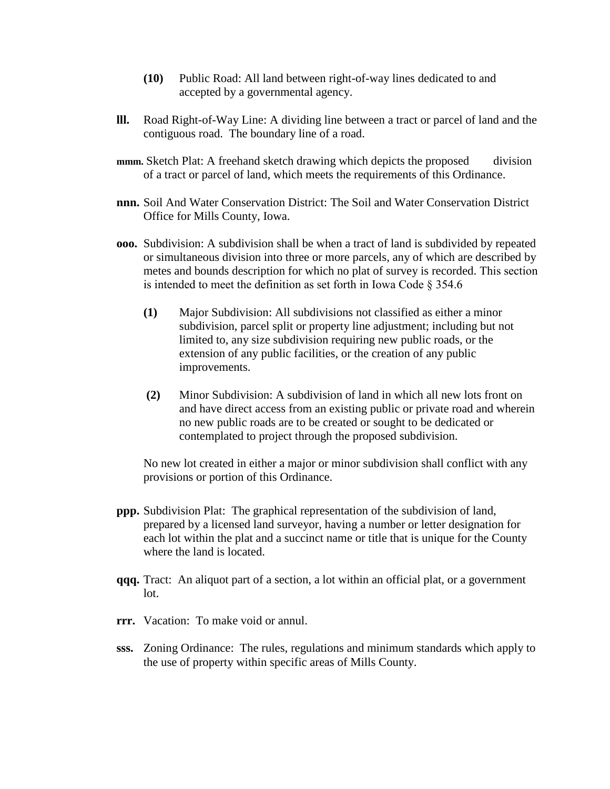- **(10)** Public Road: All land between right-of-way lines dedicated to and accepted by a governmental agency.
- **lll.** Road Right-of-Way Line: A dividing line between a tract or parcel of land and the contiguous road. The boundary line of a road.
- **mmm.** Sketch Plat: A freehand sketch drawing which depicts the proposed division of a tract or parcel of land, which meets the requirements of this Ordinance.
- **nnn.** Soil And Water Conservation District: The Soil and Water Conservation District Office for Mills County, Iowa.
- **ooo.** Subdivision: A subdivision shall be when a tract of land is subdivided by repeated or simultaneous division into three or more parcels, any of which are described by metes and bounds description for which no plat of survey is recorded. This section is intended to meet the definition as set forth in Iowa Code § 354.6
	- **(1)** Major Subdivision: All subdivisions not classified as either a minor subdivision, parcel split or property line adjustment; including but not limited to, any size subdivision requiring new public roads, or the extension of any public facilities, or the creation of any public improvements.
	- **(2)** Minor Subdivision: A subdivision of land in which all new lots front on and have direct access from an existing public or private road and wherein no new public roads are to be created or sought to be dedicated or contemplated to project through the proposed subdivision.

No new lot created in either a major or minor subdivision shall conflict with any provisions or portion of this Ordinance.

- **ppp.** Subdivision Plat: The graphical representation of the subdivision of land, prepared by a licensed land surveyor, having a number or letter designation for each lot within the plat and a succinct name or title that is unique for the County where the land is located.
- **qqq.** Tract: An aliquot part of a section, a lot within an official plat, or a government lot.
- **rrr.** Vacation: To make void or annul.
- **sss.** Zoning Ordinance: The rules, regulations and minimum standards which apply to the use of property within specific areas of Mills County.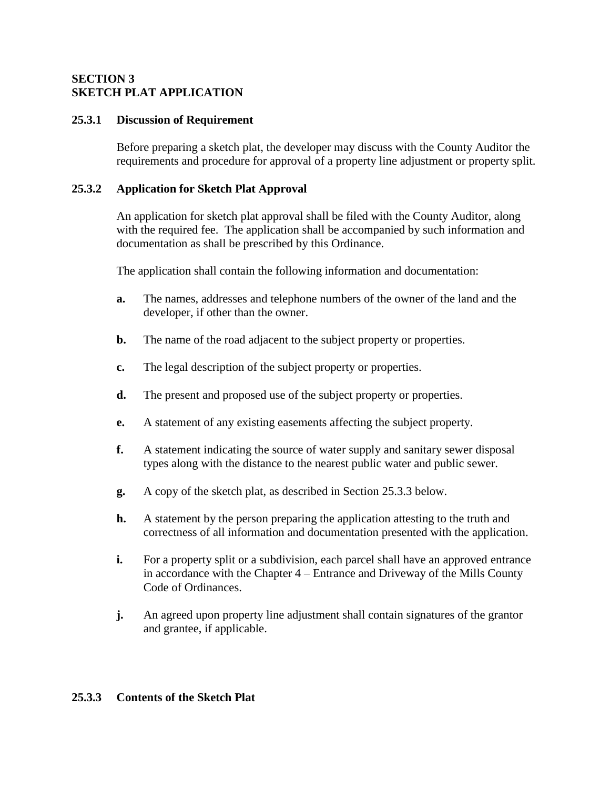### **SECTION 3 SKETCH PLAT APPLICATION**

### **25.3.1 Discussion of Requirement**

Before preparing a sketch plat, the developer may discuss with the County Auditor the requirements and procedure for approval of a property line adjustment or property split.

## **25.3.2 Application for Sketch Plat Approval**

An application for sketch plat approval shall be filed with the County Auditor, along with the required fee. The application shall be accompanied by such information and documentation as shall be prescribed by this Ordinance.

The application shall contain the following information and documentation:

- **a.** The names, addresses and telephone numbers of the owner of the land and the developer, if other than the owner.
- **b.** The name of the road adjacent to the subject property or properties.
- **c.** The legal description of the subject property or properties.
- **d.** The present and proposed use of the subject property or properties.
- **e.** A statement of any existing easements affecting the subject property.
- **f.** A statement indicating the source of water supply and sanitary sewer disposal types along with the distance to the nearest public water and public sewer.
- **g.** A copy of the sketch plat, as described in Section 25.3.3 below.
- **h.** A statement by the person preparing the application attesting to the truth and correctness of all information and documentation presented with the application.
- **i.** For a property split or a subdivision, each parcel shall have an approved entrance in accordance with the Chapter 4 – Entrance and Driveway of the Mills County Code of Ordinances.
- **j.** An agreed upon property line adjustment shall contain signatures of the grantor and grantee, if applicable.

## **25.3.3 Contents of the Sketch Plat**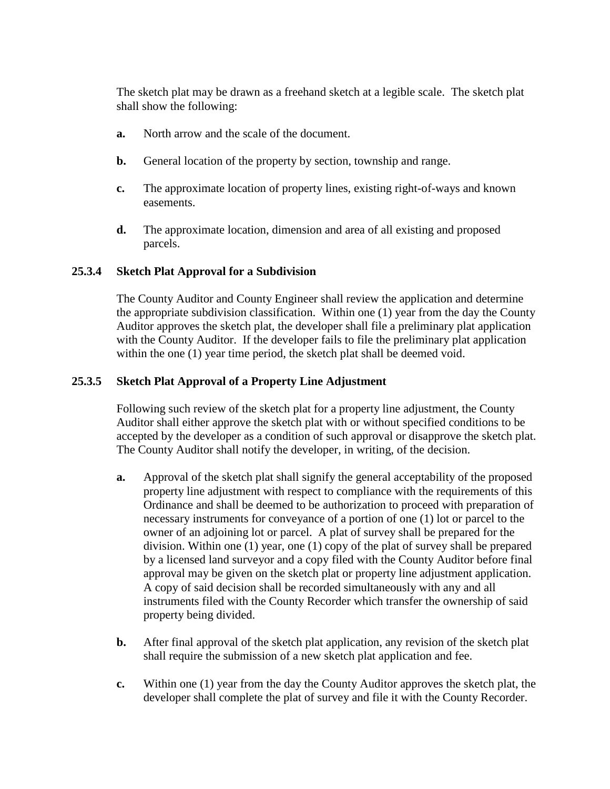The sketch plat may be drawn as a freehand sketch at a legible scale. The sketch plat shall show the following:

- **a.** North arrow and the scale of the document.
- **b.** General location of the property by section, township and range.
- **c.** The approximate location of property lines, existing right-of-ways and known easements.
- **d.** The approximate location, dimension and area of all existing and proposed parcels.

#### **25.3.4 Sketch Plat Approval for a Subdivision**

The County Auditor and County Engineer shall review the application and determine the appropriate subdivision classification. Within one (1) year from the day the County Auditor approves the sketch plat, the developer shall file a preliminary plat application with the County Auditor. If the developer fails to file the preliminary plat application within the one (1) year time period, the sketch plat shall be deemed void.

### **25.3.5 Sketch Plat Approval of a Property Line Adjustment**

Following such review of the sketch plat for a property line adjustment, the County Auditor shall either approve the sketch plat with or without specified conditions to be accepted by the developer as a condition of such approval or disapprove the sketch plat. The County Auditor shall notify the developer, in writing, of the decision.

- **a.** Approval of the sketch plat shall signify the general acceptability of the proposed property line adjustment with respect to compliance with the requirements of this Ordinance and shall be deemed to be authorization to proceed with preparation of necessary instruments for conveyance of a portion of one (1) lot or parcel to the owner of an adjoining lot or parcel. A plat of survey shall be prepared for the division. Within one (1) year, one (1) copy of the plat of survey shall be prepared by a licensed land surveyor and a copy filed with the County Auditor before final approval may be given on the sketch plat or property line adjustment application. A copy of said decision shall be recorded simultaneously with any and all instruments filed with the County Recorder which transfer the ownership of said property being divided.
- **b.** After final approval of the sketch plat application, any revision of the sketch plat shall require the submission of a new sketch plat application and fee.
- **c.** Within one (1) year from the day the County Auditor approves the sketch plat, the developer shall complete the plat of survey and file it with the County Recorder.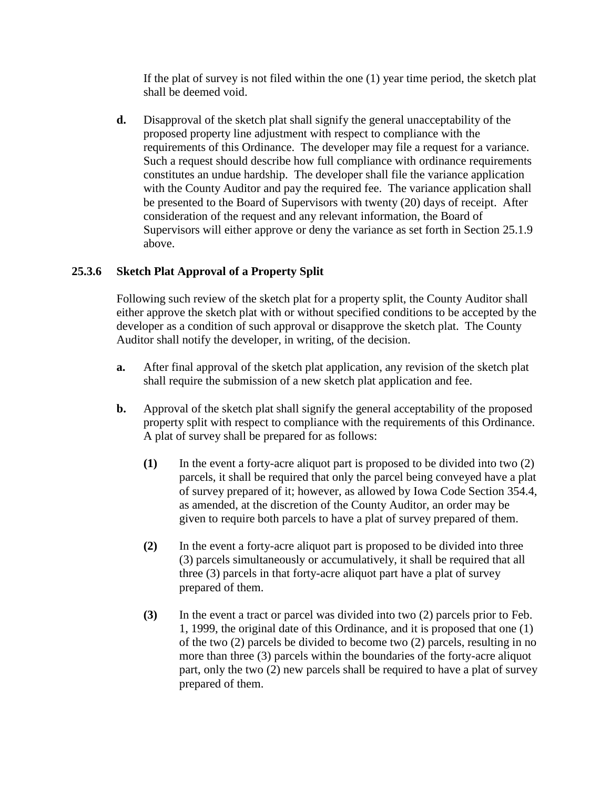If the plat of survey is not filed within the one (1) year time period, the sketch plat shall be deemed void.

**d.** Disapproval of the sketch plat shall signify the general unacceptability of the proposed property line adjustment with respect to compliance with the requirements of this Ordinance. The developer may file a request for a variance. Such a request should describe how full compliance with ordinance requirements constitutes an undue hardship. The developer shall file the variance application with the County Auditor and pay the required fee. The variance application shall be presented to the Board of Supervisors with twenty (20) days of receipt. After consideration of the request and any relevant information, the Board of Supervisors will either approve or deny the variance as set forth in Section 25.1.9 above.

## **25.3.6 Sketch Plat Approval of a Property Split**

Following such review of the sketch plat for a property split, the County Auditor shall either approve the sketch plat with or without specified conditions to be accepted by the developer as a condition of such approval or disapprove the sketch plat. The County Auditor shall notify the developer, in writing, of the decision.

- **a.** After final approval of the sketch plat application, any revision of the sketch plat shall require the submission of a new sketch plat application and fee.
- **b.** Approval of the sketch plat shall signify the general acceptability of the proposed property split with respect to compliance with the requirements of this Ordinance. A plat of survey shall be prepared for as follows:
	- **(1)** In the event a forty-acre aliquot part is proposed to be divided into two (2) parcels, it shall be required that only the parcel being conveyed have a plat of survey prepared of it; however, as allowed by Iowa Code Section 354.4, as amended, at the discretion of the County Auditor, an order may be given to require both parcels to have a plat of survey prepared of them.
	- **(2)** In the event a forty-acre aliquot part is proposed to be divided into three (3) parcels simultaneously or accumulatively, it shall be required that all three (3) parcels in that forty-acre aliquot part have a plat of survey prepared of them.
	- **(3)** In the event a tract or parcel was divided into two (2) parcels prior to Feb. 1, 1999, the original date of this Ordinance, and it is proposed that one (1) of the two (2) parcels be divided to become two (2) parcels, resulting in no more than three (3) parcels within the boundaries of the forty-acre aliquot part, only the two (2) new parcels shall be required to have a plat of survey prepared of them.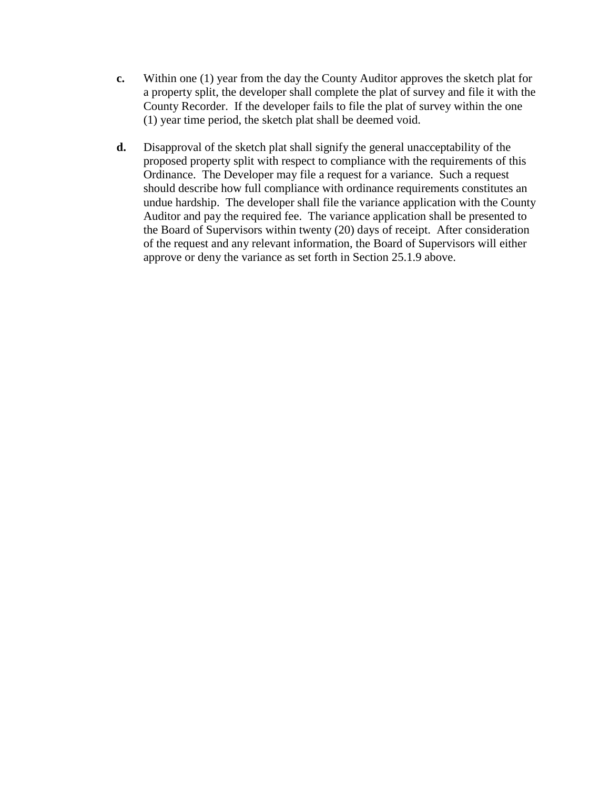- **c.** Within one (1) year from the day the County Auditor approves the sketch plat for a property split, the developer shall complete the plat of survey and file it with the County Recorder. If the developer fails to file the plat of survey within the one (1) year time period, the sketch plat shall be deemed void.
- **d.** Disapproval of the sketch plat shall signify the general unacceptability of the proposed property split with respect to compliance with the requirements of this Ordinance. The Developer may file a request for a variance. Such a request should describe how full compliance with ordinance requirements constitutes an undue hardship. The developer shall file the variance application with the County Auditor and pay the required fee. The variance application shall be presented to the Board of Supervisors within twenty (20) days of receipt. After consideration of the request and any relevant information, the Board of Supervisors will either approve or deny the variance as set forth in Section 25.1.9 above.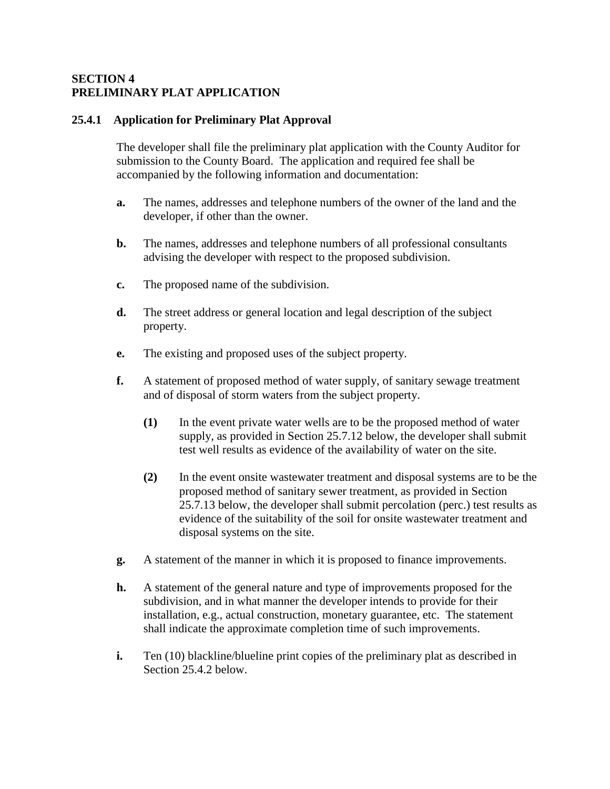### **SECTION 4 PRELIMINARY PLAT APPLICATION**

### **25.4.1 Application for Preliminary Plat Approval**

The developer shall file the preliminary plat application with the County Auditor for submission to the County Board. The application and required fee shall be accompanied by the following information and documentation:

- **a.** The names, addresses and telephone numbers of the owner of the land and the developer, if other than the owner.
- **b.** The names, addresses and telephone numbers of all professional consultants advising the developer with respect to the proposed subdivision.
- **c.** The proposed name of the subdivision.
- **d.** The street address or general location and legal description of the subject property.
- **e.** The existing and proposed uses of the subject property.
- **f.** A statement of proposed method of water supply, of sanitary sewage treatment and of disposal of storm waters from the subject property.
	- **(1)** In the event private water wells are to be the proposed method of water supply, as provided in Section 25.7.12 below, the developer shall submit test well results as evidence of the availability of water on the site.
	- **(2)** In the event onsite wastewater treatment and disposal systems are to be the proposed method of sanitary sewer treatment, as provided in Section 25.7.13 below, the developer shall submit percolation (perc.) test results as evidence of the suitability of the soil for onsite wastewater treatment and disposal systems on the site.
- **g.** A statement of the manner in which it is proposed to finance improvements.
- **h.** A statement of the general nature and type of improvements proposed for the subdivision, and in what manner the developer intends to provide for their installation, e.g., actual construction, monetary guarantee, etc. The statement shall indicate the approximate completion time of such improvements.
- **i.** Ten (10) blackline/blueline print copies of the preliminary plat as described in Section 25.4.2 below.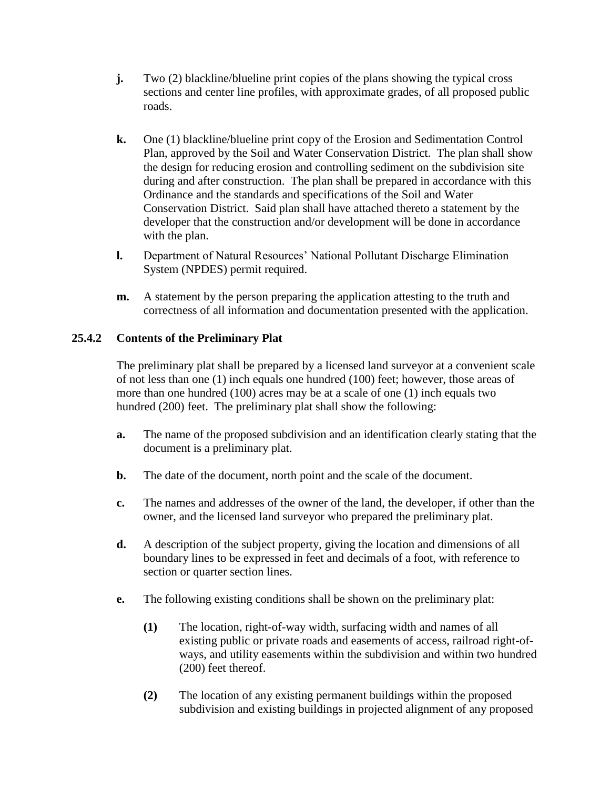- **j.** Two (2) blackline/blueline print copies of the plans showing the typical cross sections and center line profiles, with approximate grades, of all proposed public roads.
- **k.** One (1) blackline/blueline print copy of the Erosion and Sedimentation Control Plan, approved by the Soil and Water Conservation District. The plan shall show the design for reducing erosion and controlling sediment on the subdivision site during and after construction. The plan shall be prepared in accordance with this Ordinance and the standards and specifications of the Soil and Water Conservation District. Said plan shall have attached thereto a statement by the developer that the construction and/or development will be done in accordance with the plan.
- **l.** Department of Natural Resources' National Pollutant Discharge Elimination System (NPDES) permit required.
- **m.** A statement by the person preparing the application attesting to the truth and correctness of all information and documentation presented with the application.

## **25.4.2 Contents of the Preliminary Plat**

The preliminary plat shall be prepared by a licensed land surveyor at a convenient scale of not less than one (1) inch equals one hundred (100) feet; however, those areas of more than one hundred (100) acres may be at a scale of one (1) inch equals two hundred (200) feet. The preliminary plat shall show the following:

- **a.** The name of the proposed subdivision and an identification clearly stating that the document is a preliminary plat.
- **b.** The date of the document, north point and the scale of the document.
- **c.** The names and addresses of the owner of the land, the developer, if other than the owner, and the licensed land surveyor who prepared the preliminary plat.
- **d.** A description of the subject property, giving the location and dimensions of all boundary lines to be expressed in feet and decimals of a foot, with reference to section or quarter section lines.
- **e.** The following existing conditions shall be shown on the preliminary plat:
	- **(1)** The location, right-of-way width, surfacing width and names of all existing public or private roads and easements of access, railroad right-ofways, and utility easements within the subdivision and within two hundred (200) feet thereof.
	- **(2)** The location of any existing permanent buildings within the proposed subdivision and existing buildings in projected alignment of any proposed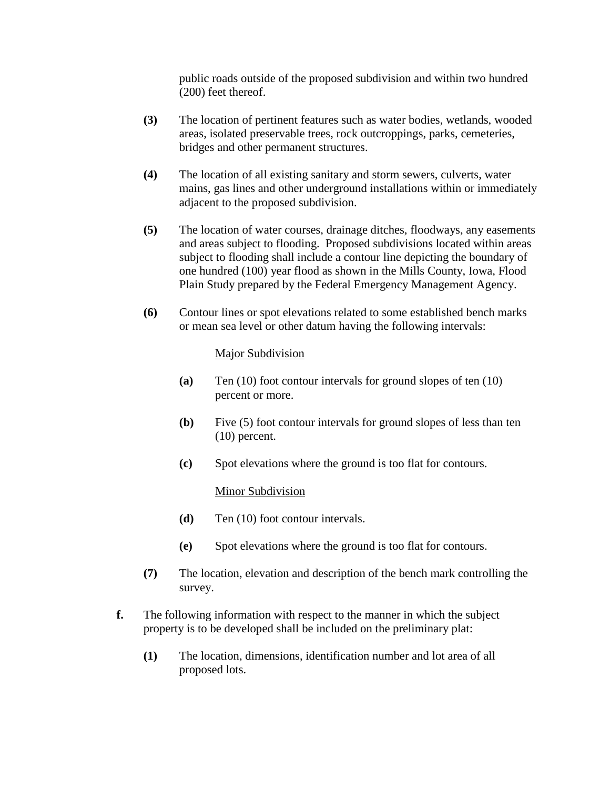public roads outside of the proposed subdivision and within two hundred (200) feet thereof.

- **(3)** The location of pertinent features such as water bodies, wetlands, wooded areas, isolated preservable trees, rock outcroppings, parks, cemeteries, bridges and other permanent structures.
- **(4)** The location of all existing sanitary and storm sewers, culverts, water mains, gas lines and other underground installations within or immediately adjacent to the proposed subdivision.
- **(5)** The location of water courses, drainage ditches, floodways, any easements and areas subject to flooding. Proposed subdivisions located within areas subject to flooding shall include a contour line depicting the boundary of one hundred (100) year flood as shown in the Mills County, Iowa, Flood Plain Study prepared by the Federal Emergency Management Agency.
- **(6)** Contour lines or spot elevations related to some established bench marks or mean sea level or other datum having the following intervals:

### Major Subdivision

- **(a)** Ten (10) foot contour intervals for ground slopes of ten (10) percent or more.
- **(b)** Five (5) foot contour intervals for ground slopes of less than ten (10) percent.
- **(c)** Spot elevations where the ground is too flat for contours.

## Minor Subdivision

- **(d)** Ten (10) foot contour intervals.
- **(e)** Spot elevations where the ground is too flat for contours.
- **(7)** The location, elevation and description of the bench mark controlling the survey.
- **f.** The following information with respect to the manner in which the subject property is to be developed shall be included on the preliminary plat:
	- **(1)** The location, dimensions, identification number and lot area of all proposed lots.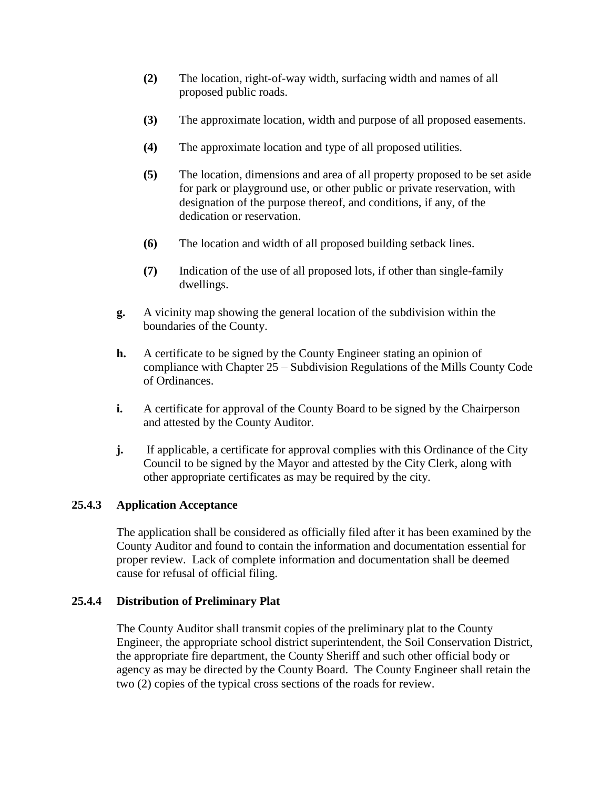- **(2)** The location, right-of-way width, surfacing width and names of all proposed public roads.
- **(3)** The approximate location, width and purpose of all proposed easements.
- **(4)** The approximate location and type of all proposed utilities.
- **(5)** The location, dimensions and area of all property proposed to be set aside for park or playground use, or other public or private reservation, with designation of the purpose thereof, and conditions, if any, of the dedication or reservation.
- **(6)** The location and width of all proposed building setback lines.
- **(7)** Indication of the use of all proposed lots, if other than single-family dwellings.
- **g.** A vicinity map showing the general location of the subdivision within the boundaries of the County.
- **h.** A certificate to be signed by the County Engineer stating an opinion of compliance with Chapter 25 – Subdivision Regulations of the Mills County Code of Ordinances.
- **i.** A certificate for approval of the County Board to be signed by the Chairperson and attested by the County Auditor.
- **j.** If applicable, a certificate for approval complies with this Ordinance of the City Council to be signed by the Mayor and attested by the City Clerk, along with other appropriate certificates as may be required by the city.

## **25.4.3 Application Acceptance**

The application shall be considered as officially filed after it has been examined by the County Auditor and found to contain the information and documentation essential for proper review. Lack of complete information and documentation shall be deemed cause for refusal of official filing.

## **25.4.4 Distribution of Preliminary Plat**

The County Auditor shall transmit copies of the preliminary plat to the County Engineer, the appropriate school district superintendent, the Soil Conservation District, the appropriate fire department, the County Sheriff and such other official body or agency as may be directed by the County Board. The County Engineer shall retain the two (2) copies of the typical cross sections of the roads for review.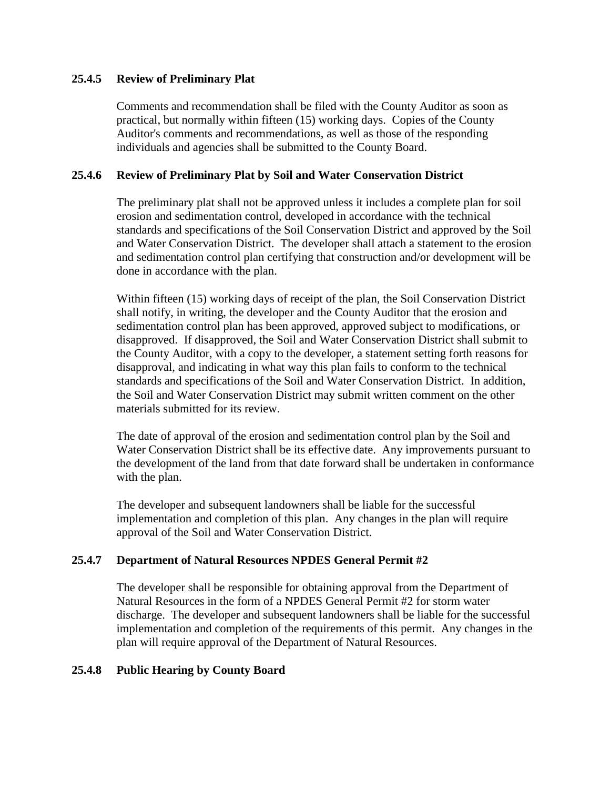### **25.4.5 Review of Preliminary Plat**

Comments and recommendation shall be filed with the County Auditor as soon as practical, but normally within fifteen (15) working days. Copies of the County Auditor's comments and recommendations, as well as those of the responding individuals and agencies shall be submitted to the County Board.

### **25.4.6 Review of Preliminary Plat by Soil and Water Conservation District**

The preliminary plat shall not be approved unless it includes a complete plan for soil erosion and sedimentation control, developed in accordance with the technical standards and specifications of the Soil Conservation District and approved by the Soil and Water Conservation District. The developer shall attach a statement to the erosion and sedimentation control plan certifying that construction and/or development will be done in accordance with the plan.

Within fifteen (15) working days of receipt of the plan, the Soil Conservation District shall notify, in writing, the developer and the County Auditor that the erosion and sedimentation control plan has been approved, approved subject to modifications, or disapproved. If disapproved, the Soil and Water Conservation District shall submit to the County Auditor, with a copy to the developer, a statement setting forth reasons for disapproval, and indicating in what way this plan fails to conform to the technical standards and specifications of the Soil and Water Conservation District. In addition, the Soil and Water Conservation District may submit written comment on the other materials submitted for its review.

The date of approval of the erosion and sedimentation control plan by the Soil and Water Conservation District shall be its effective date. Any improvements pursuant to the development of the land from that date forward shall be undertaken in conformance with the plan.

The developer and subsequent landowners shall be liable for the successful implementation and completion of this plan. Any changes in the plan will require approval of the Soil and Water Conservation District.

## **25.4.7 Department of Natural Resources NPDES General Permit #2**

The developer shall be responsible for obtaining approval from the Department of Natural Resources in the form of a NPDES General Permit #2 for storm water discharge. The developer and subsequent landowners shall be liable for the successful implementation and completion of the requirements of this permit. Any changes in the plan will require approval of the Department of Natural Resources.

#### **25.4.8 Public Hearing by County Board**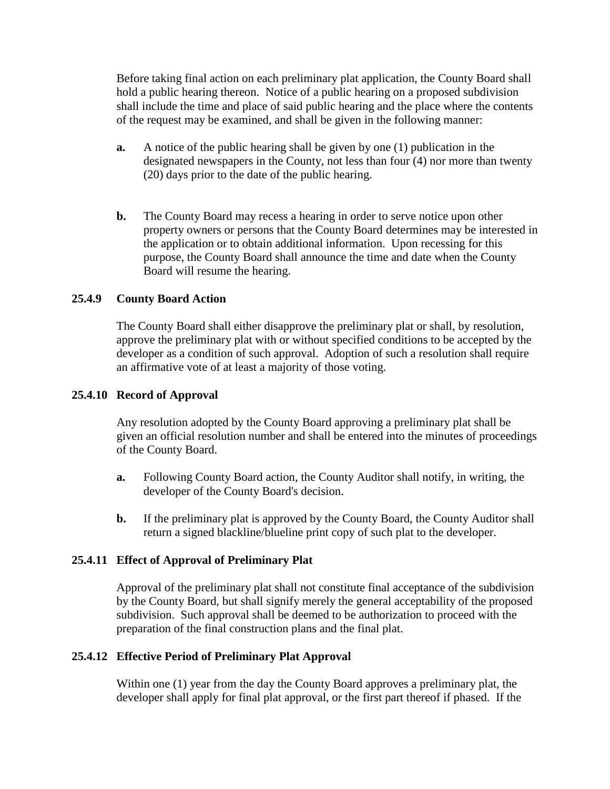Before taking final action on each preliminary plat application, the County Board shall hold a public hearing thereon. Notice of a public hearing on a proposed subdivision shall include the time and place of said public hearing and the place where the contents of the request may be examined, and shall be given in the following manner:

- **a.** A notice of the public hearing shall be given by one (1) publication in the designated newspapers in the County, not less than four (4) nor more than twenty (20) days prior to the date of the public hearing.
- **b.** The County Board may recess a hearing in order to serve notice upon other property owners or persons that the County Board determines may be interested in the application or to obtain additional information. Upon recessing for this purpose, the County Board shall announce the time and date when the County Board will resume the hearing.

#### **25.4.9 County Board Action**

The County Board shall either disapprove the preliminary plat or shall, by resolution, approve the preliminary plat with or without specified conditions to be accepted by the developer as a condition of such approval. Adoption of such a resolution shall require an affirmative vote of at least a majority of those voting.

#### **25.4.10 Record of Approval**

Any resolution adopted by the County Board approving a preliminary plat shall be given an official resolution number and shall be entered into the minutes of proceedings of the County Board.

- **a.** Following County Board action, the County Auditor shall notify, in writing, the developer of the County Board's decision.
- **b.** If the preliminary plat is approved by the County Board, the County Auditor shall return a signed blackline/blueline print copy of such plat to the developer.

#### **25.4.11 Effect of Approval of Preliminary Plat**

Approval of the preliminary plat shall not constitute final acceptance of the subdivision by the County Board, but shall signify merely the general acceptability of the proposed subdivision. Such approval shall be deemed to be authorization to proceed with the preparation of the final construction plans and the final plat.

#### **25.4.12 Effective Period of Preliminary Plat Approval**

Within one (1) year from the day the County Board approves a preliminary plat, the developer shall apply for final plat approval, or the first part thereof if phased. If the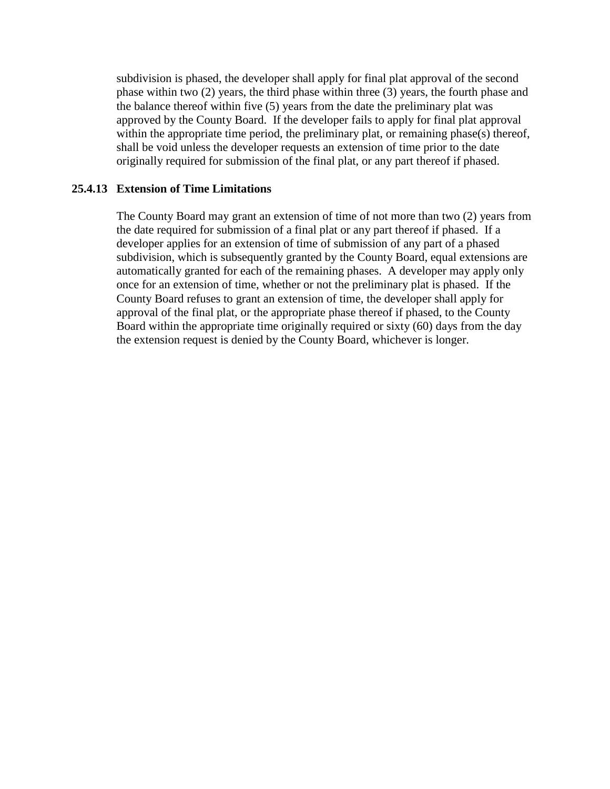subdivision is phased, the developer shall apply for final plat approval of the second phase within two (2) years, the third phase within three (3) years, the fourth phase and the balance thereof within five (5) years from the date the preliminary plat was approved by the County Board. If the developer fails to apply for final plat approval within the appropriate time period, the preliminary plat, or remaining phase(s) thereof, shall be void unless the developer requests an extension of time prior to the date originally required for submission of the final plat, or any part thereof if phased.

### **25.4.13 Extension of Time Limitations**

The County Board may grant an extension of time of not more than two (2) years from the date required for submission of a final plat or any part thereof if phased. If a developer applies for an extension of time of submission of any part of a phased subdivision, which is subsequently granted by the County Board, equal extensions are automatically granted for each of the remaining phases. A developer may apply only once for an extension of time, whether or not the preliminary plat is phased. If the County Board refuses to grant an extension of time, the developer shall apply for approval of the final plat, or the appropriate phase thereof if phased, to the County Board within the appropriate time originally required or sixty (60) days from the day the extension request is denied by the County Board, whichever is longer.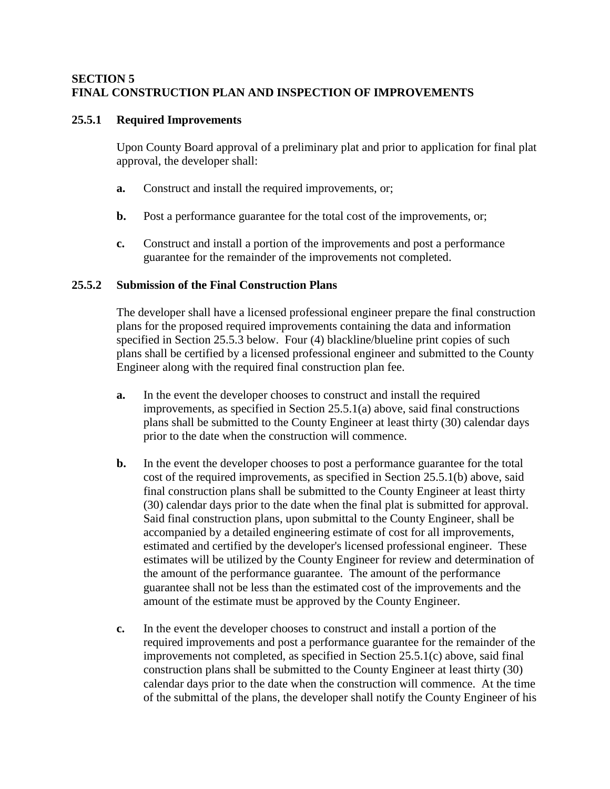### **SECTION 5 FINAL CONSTRUCTION PLAN AND INSPECTION OF IMPROVEMENTS**

### **25.5.1 Required Improvements**

Upon County Board approval of a preliminary plat and prior to application for final plat approval, the developer shall:

- **a.** Construct and install the required improvements, or;
- **b.** Post a performance guarantee for the total cost of the improvements, or;
- **c.** Construct and install a portion of the improvements and post a performance guarantee for the remainder of the improvements not completed.

### **25.5.2 Submission of the Final Construction Plans**

The developer shall have a licensed professional engineer prepare the final construction plans for the proposed required improvements containing the data and information specified in Section 25.5.3 below. Four (4) blackline/blueline print copies of such plans shall be certified by a licensed professional engineer and submitted to the County Engineer along with the required final construction plan fee.

- **a.** In the event the developer chooses to construct and install the required improvements, as specified in Section 25.5.1(a) above, said final constructions plans shall be submitted to the County Engineer at least thirty (30) calendar days prior to the date when the construction will commence.
- **b.** In the event the developer chooses to post a performance guarantee for the total cost of the required improvements, as specified in Section 25.5.1(b) above, said final construction plans shall be submitted to the County Engineer at least thirty (30) calendar days prior to the date when the final plat is submitted for approval. Said final construction plans, upon submittal to the County Engineer, shall be accompanied by a detailed engineering estimate of cost for all improvements, estimated and certified by the developer's licensed professional engineer. These estimates will be utilized by the County Engineer for review and determination of the amount of the performance guarantee. The amount of the performance guarantee shall not be less than the estimated cost of the improvements and the amount of the estimate must be approved by the County Engineer.
- **c.** In the event the developer chooses to construct and install a portion of the required improvements and post a performance guarantee for the remainder of the improvements not completed, as specified in Section 25.5.1(c) above, said final construction plans shall be submitted to the County Engineer at least thirty (30) calendar days prior to the date when the construction will commence. At the time of the submittal of the plans, the developer shall notify the County Engineer of his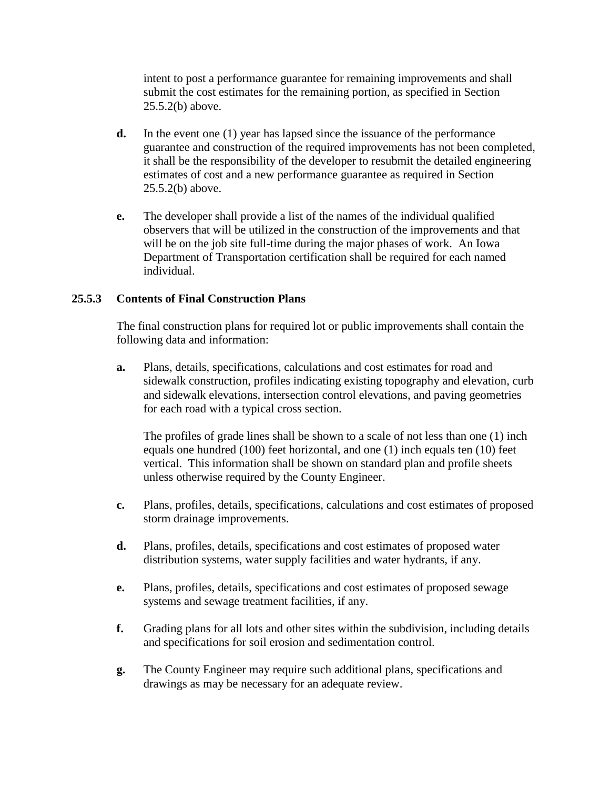intent to post a performance guarantee for remaining improvements and shall submit the cost estimates for the remaining portion, as specified in Section 25.5.2(b) above.

- **d.** In the event one (1) year has lapsed since the issuance of the performance guarantee and construction of the required improvements has not been completed, it shall be the responsibility of the developer to resubmit the detailed engineering estimates of cost and a new performance guarantee as required in Section 25.5.2(b) above.
- **e.** The developer shall provide a list of the names of the individual qualified observers that will be utilized in the construction of the improvements and that will be on the job site full-time during the major phases of work. An Iowa Department of Transportation certification shall be required for each named individual.

## **25.5.3 Contents of Final Construction Plans**

The final construction plans for required lot or public improvements shall contain the following data and information:

**a.** Plans, details, specifications, calculations and cost estimates for road and sidewalk construction, profiles indicating existing topography and elevation, curb and sidewalk elevations, intersection control elevations, and paving geometries for each road with a typical cross section.

The profiles of grade lines shall be shown to a scale of not less than one (1) inch equals one hundred (100) feet horizontal, and one (1) inch equals ten (10) feet vertical. This information shall be shown on standard plan and profile sheets unless otherwise required by the County Engineer.

- **c.** Plans, profiles, details, specifications, calculations and cost estimates of proposed storm drainage improvements.
- **d.** Plans, profiles, details, specifications and cost estimates of proposed water distribution systems, water supply facilities and water hydrants, if any.
- **e.** Plans, profiles, details, specifications and cost estimates of proposed sewage systems and sewage treatment facilities, if any.
- **f.** Grading plans for all lots and other sites within the subdivision, including details and specifications for soil erosion and sedimentation control.
- **g.** The County Engineer may require such additional plans, specifications and drawings as may be necessary for an adequate review.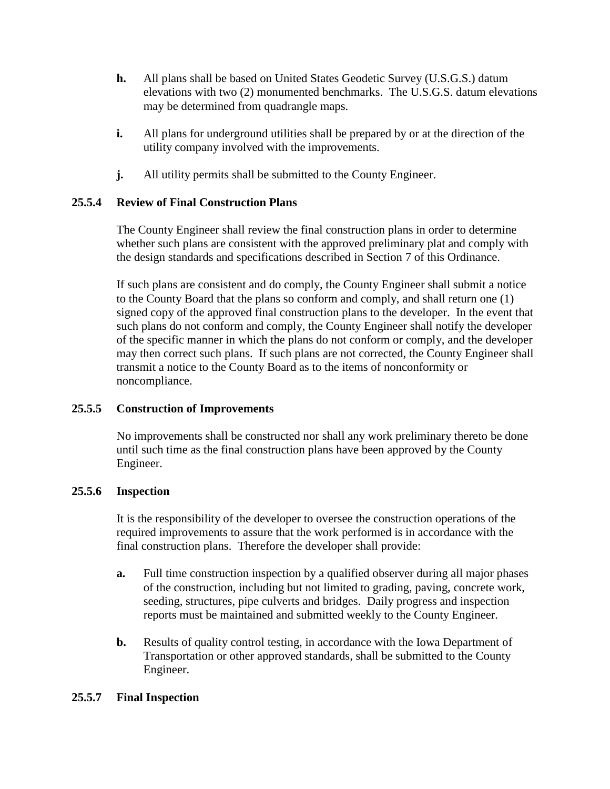- **h.** All plans shall be based on United States Geodetic Survey (U.S.G.S.) datum elevations with two (2) monumented benchmarks. The U.S.G.S. datum elevations may be determined from quadrangle maps.
- **i.** All plans for underground utilities shall be prepared by or at the direction of the utility company involved with the improvements.
- **j.** All utility permits shall be submitted to the County Engineer.

## **25.5.4 Review of Final Construction Plans**

The County Engineer shall review the final construction plans in order to determine whether such plans are consistent with the approved preliminary plat and comply with the design standards and specifications described in Section 7 of this Ordinance.

If such plans are consistent and do comply, the County Engineer shall submit a notice to the County Board that the plans so conform and comply, and shall return one (1) signed copy of the approved final construction plans to the developer. In the event that such plans do not conform and comply, the County Engineer shall notify the developer of the specific manner in which the plans do not conform or comply, and the developer may then correct such plans. If such plans are not corrected, the County Engineer shall transmit a notice to the County Board as to the items of nonconformity or noncompliance.

## **25.5.5 Construction of Improvements**

No improvements shall be constructed nor shall any work preliminary thereto be done until such time as the final construction plans have been approved by the County Engineer.

## **25.5.6 Inspection**

It is the responsibility of the developer to oversee the construction operations of the required improvements to assure that the work performed is in accordance with the final construction plans. Therefore the developer shall provide:

- **a.** Full time construction inspection by a qualified observer during all major phases of the construction, including but not limited to grading, paving, concrete work, seeding, structures, pipe culverts and bridges. Daily progress and inspection reports must be maintained and submitted weekly to the County Engineer.
- **b.** Results of quality control testing, in accordance with the Iowa Department of Transportation or other approved standards, shall be submitted to the County Engineer.

## **25.5.7 Final Inspection**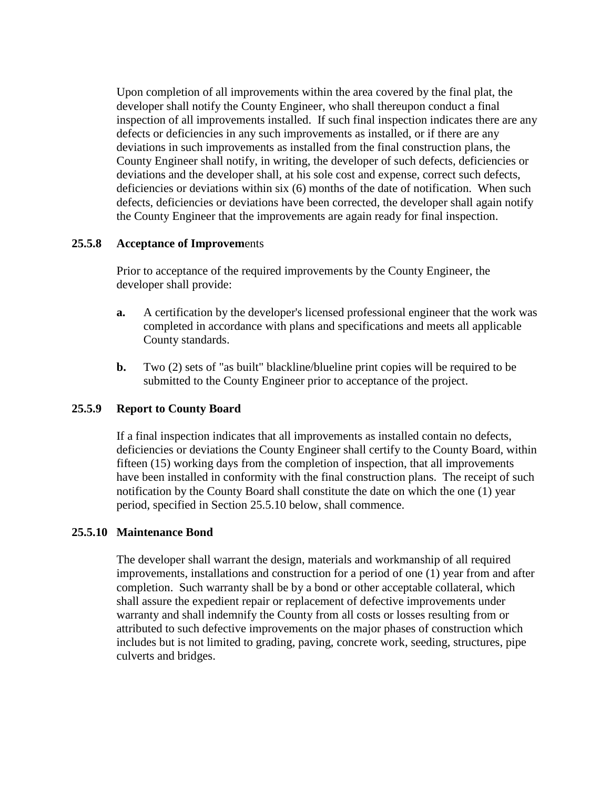Upon completion of all improvements within the area covered by the final plat, the developer shall notify the County Engineer, who shall thereupon conduct a final inspection of all improvements installed. If such final inspection indicates there are any defects or deficiencies in any such improvements as installed, or if there are any deviations in such improvements as installed from the final construction plans, the County Engineer shall notify, in writing, the developer of such defects, deficiencies or deviations and the developer shall, at his sole cost and expense, correct such defects, deficiencies or deviations within six (6) months of the date of notification. When such defects, deficiencies or deviations have been corrected, the developer shall again notify the County Engineer that the improvements are again ready for final inspection.

#### **25.5.8 Acceptance of Improvem**ents

Prior to acceptance of the required improvements by the County Engineer, the developer shall provide:

- **a.** A certification by the developer's licensed professional engineer that the work was completed in accordance with plans and specifications and meets all applicable County standards.
- **b.** Two (2) sets of "as built" blackline/blueline print copies will be required to be submitted to the County Engineer prior to acceptance of the project.

## **25.5.9 Report to County Board**

If a final inspection indicates that all improvements as installed contain no defects, deficiencies or deviations the County Engineer shall certify to the County Board, within fifteen (15) working days from the completion of inspection, that all improvements have been installed in conformity with the final construction plans. The receipt of such notification by the County Board shall constitute the date on which the one (1) year period, specified in Section 25.5.10 below, shall commence.

## **25.5.10 Maintenance Bond**

The developer shall warrant the design, materials and workmanship of all required improvements, installations and construction for a period of one (1) year from and after completion. Such warranty shall be by a bond or other acceptable collateral, which shall assure the expedient repair or replacement of defective improvements under warranty and shall indemnify the County from all costs or losses resulting from or attributed to such defective improvements on the major phases of construction which includes but is not limited to grading, paving, concrete work, seeding, structures, pipe culverts and bridges.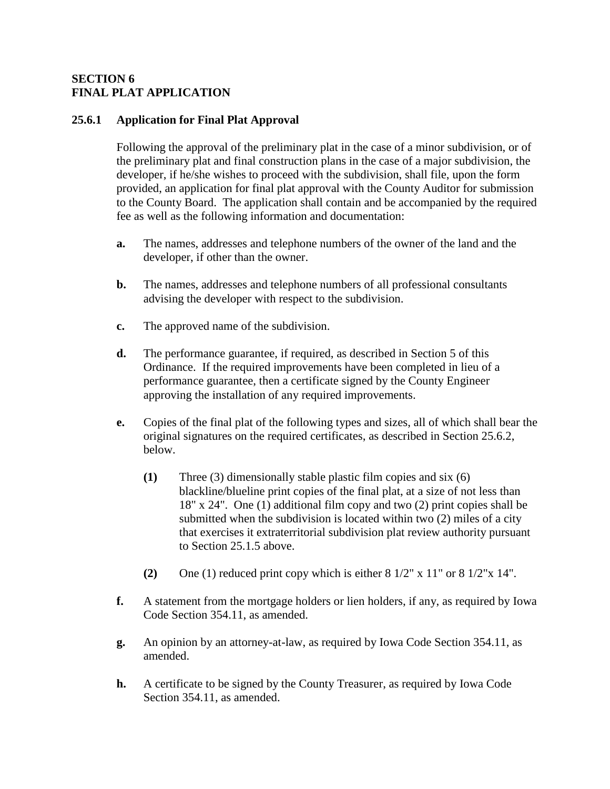### **SECTION 6 FINAL PLAT APPLICATION**

#### **25.6.1 Application for Final Plat Approval**

Following the approval of the preliminary plat in the case of a minor subdivision, or of the preliminary plat and final construction plans in the case of a major subdivision, the developer, if he/she wishes to proceed with the subdivision, shall file, upon the form provided, an application for final plat approval with the County Auditor for submission to the County Board. The application shall contain and be accompanied by the required fee as well as the following information and documentation:

- **a.** The names, addresses and telephone numbers of the owner of the land and the developer, if other than the owner.
- **b.** The names, addresses and telephone numbers of all professional consultants advising the developer with respect to the subdivision.
- **c.** The approved name of the subdivision.
- **d.** The performance guarantee, if required, as described in Section 5 of this Ordinance. If the required improvements have been completed in lieu of a performance guarantee, then a certificate signed by the County Engineer approving the installation of any required improvements.
- **e.** Copies of the final plat of the following types and sizes, all of which shall bear the original signatures on the required certificates, as described in Section 25.6.2, below.
	- **(1)** Three (3) dimensionally stable plastic film copies and six (6) blackline/blueline print copies of the final plat, at a size of not less than 18" x 24". One (1) additional film copy and two (2) print copies shall be submitted when the subdivision is located within two (2) miles of a city that exercises it extraterritorial subdivision plat review authority pursuant to Section 25.1.5 above.
	- **(2)** One (1) reduced print copy which is either 8 1/2" x 11" or 8 1/2"x 14".
- **f.** A statement from the mortgage holders or lien holders, if any, as required by Iowa Code Section 354.11, as amended.
- **g.** An opinion by an attorney-at-law, as required by Iowa Code Section 354.11, as amended.
- **h.** A certificate to be signed by the County Treasurer, as required by Iowa Code Section 354.11, as amended.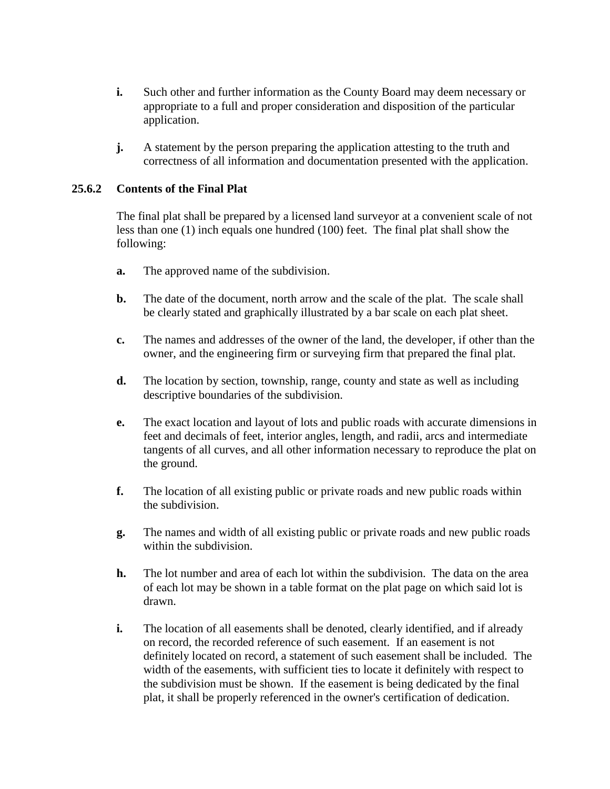- **i.** Such other and further information as the County Board may deem necessary or appropriate to a full and proper consideration and disposition of the particular application.
- **j.** A statement by the person preparing the application attesting to the truth and correctness of all information and documentation presented with the application.

### **25.6.2 Contents of the Final Plat**

The final plat shall be prepared by a licensed land surveyor at a convenient scale of not less than one (1) inch equals one hundred (100) feet. The final plat shall show the following:

- **a.** The approved name of the subdivision.
- **b.** The date of the document, north arrow and the scale of the plat. The scale shall be clearly stated and graphically illustrated by a bar scale on each plat sheet.
- **c.** The names and addresses of the owner of the land, the developer, if other than the owner, and the engineering firm or surveying firm that prepared the final plat.
- **d.** The location by section, township, range, county and state as well as including descriptive boundaries of the subdivision.
- **e.** The exact location and layout of lots and public roads with accurate dimensions in feet and decimals of feet, interior angles, length, and radii, arcs and intermediate tangents of all curves, and all other information necessary to reproduce the plat on the ground.
- **f.** The location of all existing public or private roads and new public roads within the subdivision.
- **g.** The names and width of all existing public or private roads and new public roads within the subdivision.
- **h.** The lot number and area of each lot within the subdivision. The data on the area of each lot may be shown in a table format on the plat page on which said lot is drawn.
- **i.** The location of all easements shall be denoted, clearly identified, and if already on record, the recorded reference of such easement. If an easement is not definitely located on record, a statement of such easement shall be included. The width of the easements, with sufficient ties to locate it definitely with respect to the subdivision must be shown. If the easement is being dedicated by the final plat, it shall be properly referenced in the owner's certification of dedication.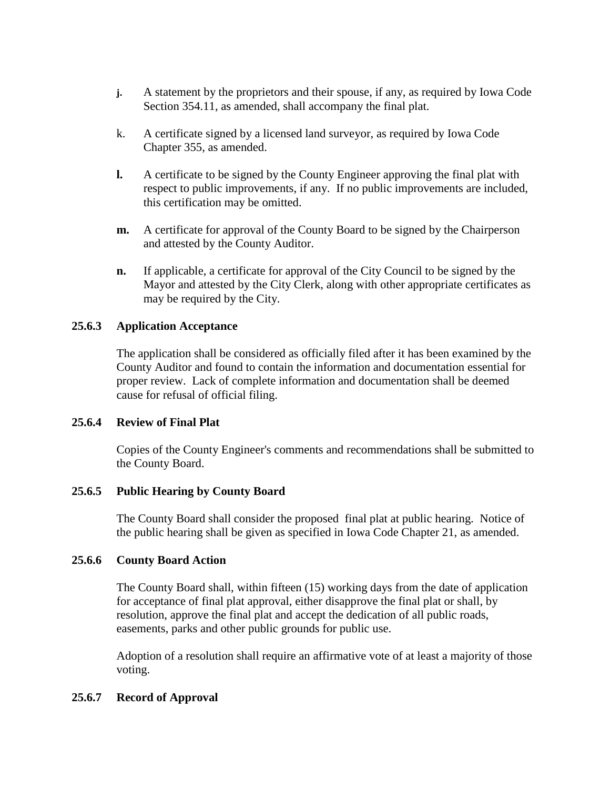- **j.** A statement by the proprietors and their spouse, if any, as required by Iowa Code Section 354.11, as amended, shall accompany the final plat.
- k. A certificate signed by a licensed land surveyor, as required by Iowa Code Chapter 355, as amended.
- **l.** A certificate to be signed by the County Engineer approving the final plat with respect to public improvements, if any. If no public improvements are included, this certification may be omitted.
- **m.** A certificate for approval of the County Board to be signed by the Chairperson and attested by the County Auditor.
- **n.** If applicable, a certificate for approval of the City Council to be signed by the Mayor and attested by the City Clerk, along with other appropriate certificates as may be required by the City.

## **25.6.3 Application Acceptance**

The application shall be considered as officially filed after it has been examined by the County Auditor and found to contain the information and documentation essential for proper review. Lack of complete information and documentation shall be deemed cause for refusal of official filing.

#### **25.6.4 Review of Final Plat**

Copies of the County Engineer's comments and recommendations shall be submitted to the County Board.

#### **25.6.5 Public Hearing by County Board**

The County Board shall consider the proposed final plat at public hearing. Notice of the public hearing shall be given as specified in Iowa Code Chapter 21, as amended.

#### **25.6.6 County Board Action**

The County Board shall, within fifteen (15) working days from the date of application for acceptance of final plat approval, either disapprove the final plat or shall, by resolution, approve the final plat and accept the dedication of all public roads, easements, parks and other public grounds for public use.

Adoption of a resolution shall require an affirmative vote of at least a majority of those voting.

#### **25.6.7 Record of Approval**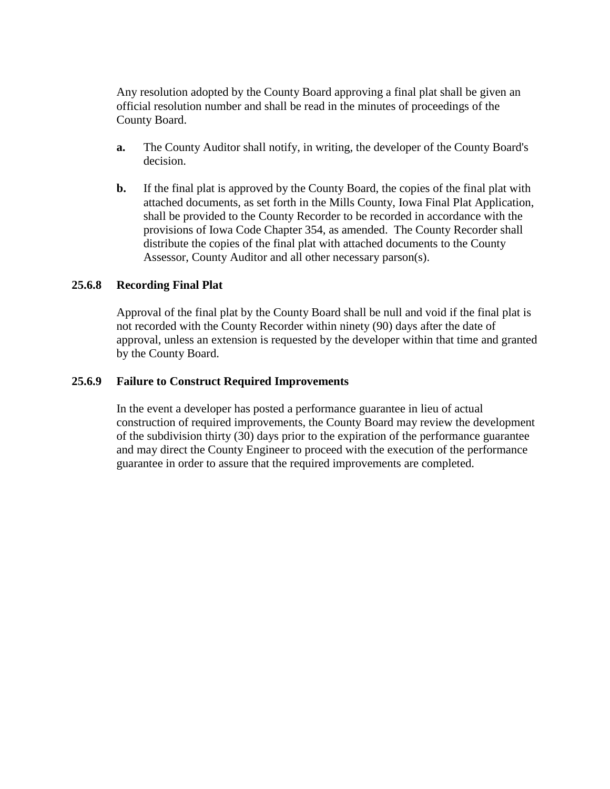Any resolution adopted by the County Board approving a final plat shall be given an official resolution number and shall be read in the minutes of proceedings of the County Board.

- **a.** The County Auditor shall notify, in writing, the developer of the County Board's decision.
- **b.** If the final plat is approved by the County Board, the copies of the final plat with attached documents, as set forth in the Mills County, Iowa Final Plat Application, shall be provided to the County Recorder to be recorded in accordance with the provisions of Iowa Code Chapter 354, as amended. The County Recorder shall distribute the copies of the final plat with attached documents to the County Assessor, County Auditor and all other necessary parson(s).

### **25.6.8 Recording Final Plat**

Approval of the final plat by the County Board shall be null and void if the final plat is not recorded with the County Recorder within ninety (90) days after the date of approval, unless an extension is requested by the developer within that time and granted by the County Board.

#### **25.6.9 Failure to Construct Required Improvements**

In the event a developer has posted a performance guarantee in lieu of actual construction of required improvements, the County Board may review the development of the subdivision thirty (30) days prior to the expiration of the performance guarantee and may direct the County Engineer to proceed with the execution of the performance guarantee in order to assure that the required improvements are completed.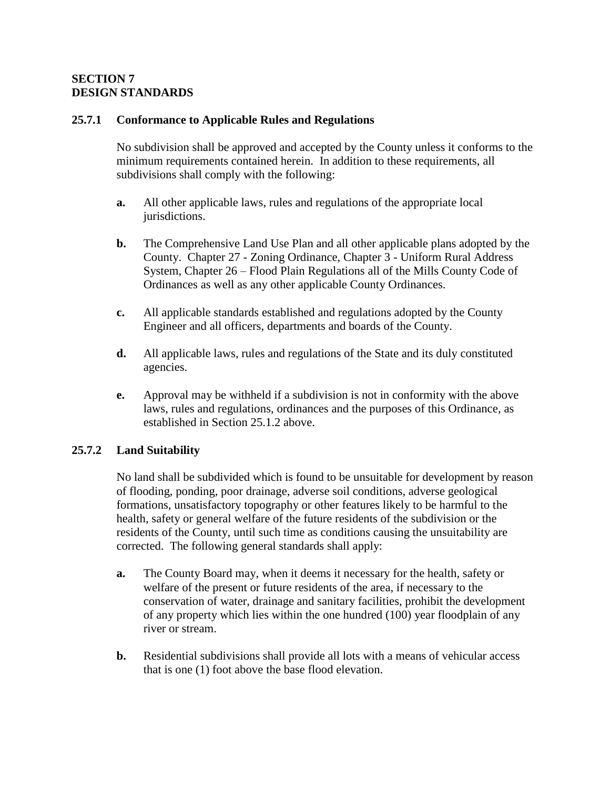### **SECTION 7 DESIGN STANDARDS**

### **25.7.1 Conformance to Applicable Rules and Regulations**

No subdivision shall be approved and accepted by the County unless it conforms to the minimum requirements contained herein. In addition to these requirements, all subdivisions shall comply with the following:

- **a.** All other applicable laws, rules and regulations of the appropriate local jurisdictions.
- **b.** The Comprehensive Land Use Plan and all other applicable plans adopted by the County. Chapter 27 - Zoning Ordinance, Chapter 3 - Uniform Rural Address System, Chapter 26 – Flood Plain Regulations all of the Mills County Code of Ordinances as well as any other applicable County Ordinances.
- **c.** All applicable standards established and regulations adopted by the County Engineer and all officers, departments and boards of the County.
- **d.** All applicable laws, rules and regulations of the State and its duly constituted agencies.
- **e.** Approval may be withheld if a subdivision is not in conformity with the above laws, rules and regulations, ordinances and the purposes of this Ordinance, as established in Section 25.1.2 above.

## **25.7.2 Land Suitability**

No land shall be subdivided which is found to be unsuitable for development by reason of flooding, ponding, poor drainage, adverse soil conditions, adverse geological formations, unsatisfactory topography or other features likely to be harmful to the health, safety or general welfare of the future residents of the subdivision or the residents of the County, until such time as conditions causing the unsuitability are corrected. The following general standards shall apply:

- **a.** The County Board may, when it deems it necessary for the health, safety or welfare of the present or future residents of the area, if necessary to the conservation of water, drainage and sanitary facilities, prohibit the development of any property which lies within the one hundred (100) year floodplain of any river or stream.
- **b.** Residential subdivisions shall provide all lots with a means of vehicular access that is one (1) foot above the base flood elevation.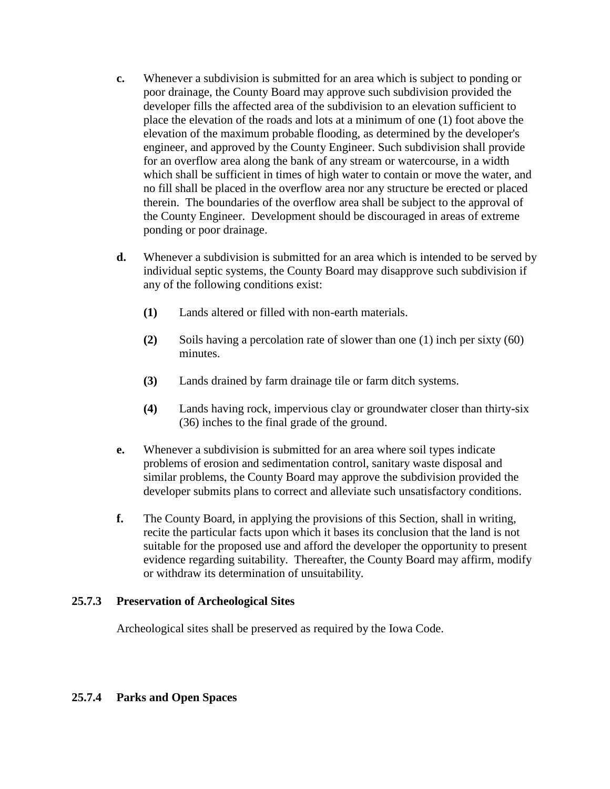- **c.** Whenever a subdivision is submitted for an area which is subject to ponding or poor drainage, the County Board may approve such subdivision provided the developer fills the affected area of the subdivision to an elevation sufficient to place the elevation of the roads and lots at a minimum of one (1) foot above the elevation of the maximum probable flooding, as determined by the developer's engineer, and approved by the County Engineer. Such subdivision shall provide for an overflow area along the bank of any stream or watercourse, in a width which shall be sufficient in times of high water to contain or move the water, and no fill shall be placed in the overflow area nor any structure be erected or placed therein. The boundaries of the overflow area shall be subject to the approval of the County Engineer. Development should be discouraged in areas of extreme ponding or poor drainage.
- **d.** Whenever a subdivision is submitted for an area which is intended to be served by individual septic systems, the County Board may disapprove such subdivision if any of the following conditions exist:
	- **(1)** Lands altered or filled with non-earth materials.
	- **(2)** Soils having a percolation rate of slower than one (1) inch per sixty (60) minutes.
	- **(3)** Lands drained by farm drainage tile or farm ditch systems.
	- **(4)** Lands having rock, impervious clay or groundwater closer than thirty-six (36) inches to the final grade of the ground.
- **e.** Whenever a subdivision is submitted for an area where soil types indicate problems of erosion and sedimentation control, sanitary waste disposal and similar problems, the County Board may approve the subdivision provided the developer submits plans to correct and alleviate such unsatisfactory conditions.
- **f.** The County Board, in applying the provisions of this Section, shall in writing, recite the particular facts upon which it bases its conclusion that the land is not suitable for the proposed use and afford the developer the opportunity to present evidence regarding suitability. Thereafter, the County Board may affirm, modify or withdraw its determination of unsuitability.

#### **25.7.3 Preservation of Archeological Sites**

Archeological sites shall be preserved as required by the Iowa Code.

#### **25.7.4 Parks and Open Spaces**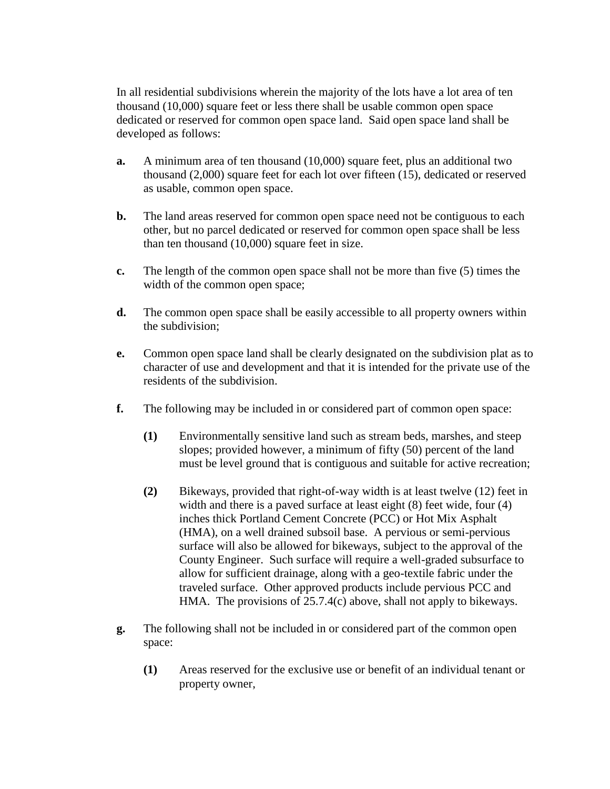In all residential subdivisions wherein the majority of the lots have a lot area of ten thousand (10,000) square feet or less there shall be usable common open space dedicated or reserved for common open space land. Said open space land shall be developed as follows:

- **a.** A minimum area of ten thousand (10,000) square feet, plus an additional two thousand (2,000) square feet for each lot over fifteen (15), dedicated or reserved as usable, common open space.
- **b.** The land areas reserved for common open space need not be contiguous to each other, but no parcel dedicated or reserved for common open space shall be less than ten thousand (10,000) square feet in size.
- **c.** The length of the common open space shall not be more than five (5) times the width of the common open space;
- **d.** The common open space shall be easily accessible to all property owners within the subdivision;
- **e.** Common open space land shall be clearly designated on the subdivision plat as to character of use and development and that it is intended for the private use of the residents of the subdivision.
- **f.** The following may be included in or considered part of common open space:
	- **(1)** Environmentally sensitive land such as stream beds, marshes, and steep slopes; provided however, a minimum of fifty (50) percent of the land must be level ground that is contiguous and suitable for active recreation;
	- **(2)** Bikeways, provided that right-of-way width is at least twelve (12) feet in width and there is a paved surface at least eight  $(8)$  feet wide, four  $(4)$ inches thick Portland Cement Concrete (PCC) or Hot Mix Asphalt (HMA), on a well drained subsoil base. A pervious or semi-pervious surface will also be allowed for bikeways, subject to the approval of the County Engineer. Such surface will require a well-graded subsurface to allow for sufficient drainage, along with a geo-textile fabric under the traveled surface. Other approved products include pervious PCC and HMA. The provisions of 25.7.4(c) above, shall not apply to bikeways.
- **g.** The following shall not be included in or considered part of the common open space:
	- **(1)** Areas reserved for the exclusive use or benefit of an individual tenant or property owner,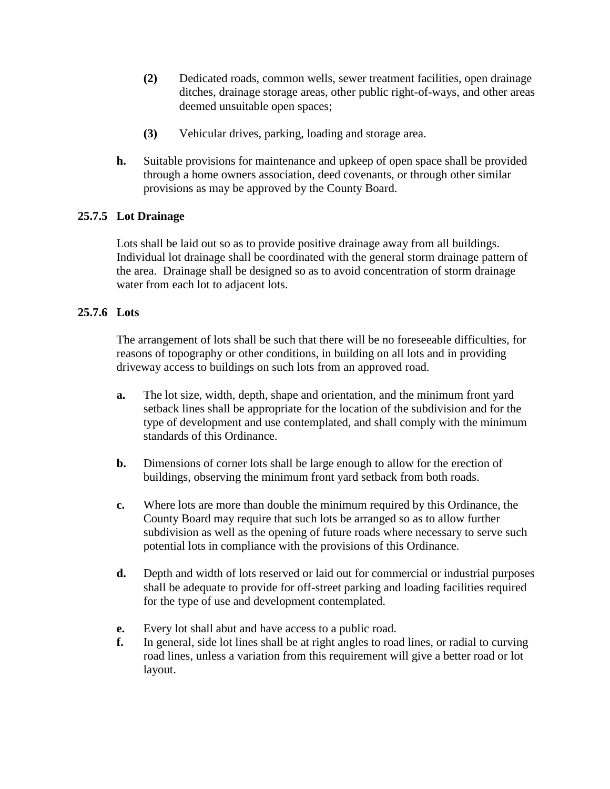- **(2)** Dedicated roads, common wells, sewer treatment facilities, open drainage ditches, drainage storage areas, other public right-of-ways, and other areas deemed unsuitable open spaces;
- **(3)** Vehicular drives, parking, loading and storage area.
- **h.** Suitable provisions for maintenance and upkeep of open space shall be provided through a home owners association, deed covenants, or through other similar provisions as may be approved by the County Board.

## **25.7.5 Lot Drainage**

Lots shall be laid out so as to provide positive drainage away from all buildings. Individual lot drainage shall be coordinated with the general storm drainage pattern of the area. Drainage shall be designed so as to avoid concentration of storm drainage water from each lot to adjacent lots.

## **25.7.6 Lots**

The arrangement of lots shall be such that there will be no foreseeable difficulties, for reasons of topography or other conditions, in building on all lots and in providing driveway access to buildings on such lots from an approved road.

- **a.** The lot size, width, depth, shape and orientation, and the minimum front yard setback lines shall be appropriate for the location of the subdivision and for the type of development and use contemplated, and shall comply with the minimum standards of this Ordinance.
- **b.** Dimensions of corner lots shall be large enough to allow for the erection of buildings, observing the minimum front yard setback from both roads.
- **c.** Where lots are more than double the minimum required by this Ordinance, the County Board may require that such lots be arranged so as to allow further subdivision as well as the opening of future roads where necessary to serve such potential lots in compliance with the provisions of this Ordinance.
- **d.** Depth and width of lots reserved or laid out for commercial or industrial purposes shall be adequate to provide for off-street parking and loading facilities required for the type of use and development contemplated.
- **e.** Every lot shall abut and have access to a public road.
- **f.** In general, side lot lines shall be at right angles to road lines, or radial to curving road lines, unless a variation from this requirement will give a better road or lot layout.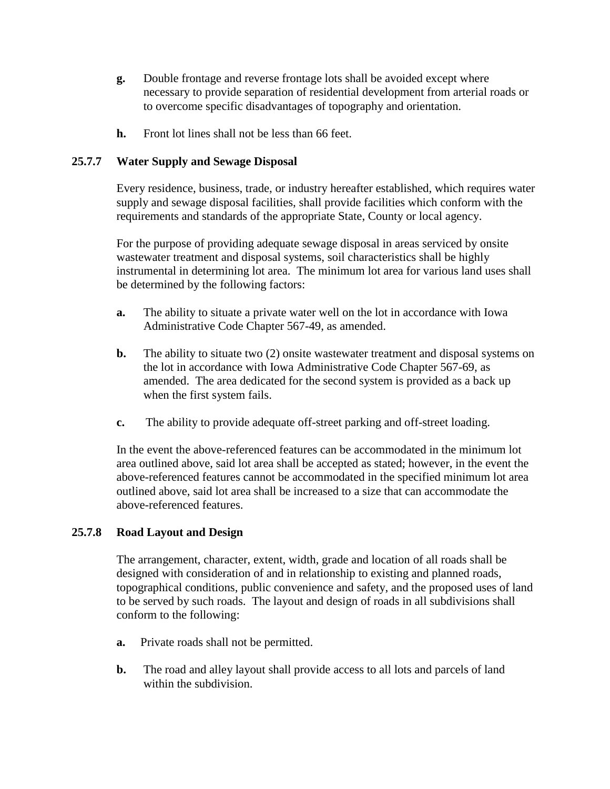- **g.** Double frontage and reverse frontage lots shall be avoided except where necessary to provide separation of residential development from arterial roads or to overcome specific disadvantages of topography and orientation.
- **h.** Front lot lines shall not be less than 66 feet.

### **25.7.7 Water Supply and Sewage Disposal**

Every residence, business, trade, or industry hereafter established, which requires water supply and sewage disposal facilities, shall provide facilities which conform with the requirements and standards of the appropriate State, County or local agency.

For the purpose of providing adequate sewage disposal in areas serviced by onsite wastewater treatment and disposal systems, soil characteristics shall be highly instrumental in determining lot area. The minimum lot area for various land uses shall be determined by the following factors:

- **a.** The ability to situate a private water well on the lot in accordance with Iowa Administrative Code Chapter 567-49, as amended.
- **b.** The ability to situate two (2) onsite wastewater treatment and disposal systems on the lot in accordance with Iowa Administrative Code Chapter 567-69, as amended. The area dedicated for the second system is provided as a back up when the first system fails.
- **c.** The ability to provide adequate off-street parking and off-street loading.

In the event the above-referenced features can be accommodated in the minimum lot area outlined above, said lot area shall be accepted as stated; however, in the event the above-referenced features cannot be accommodated in the specified minimum lot area outlined above, said lot area shall be increased to a size that can accommodate the above-referenced features.

#### **25.7.8 Road Layout and Design**

The arrangement, character, extent, width, grade and location of all roads shall be designed with consideration of and in relationship to existing and planned roads, topographical conditions, public convenience and safety, and the proposed uses of land to be served by such roads. The layout and design of roads in all subdivisions shall conform to the following:

- **a.** Private roads shall not be permitted.
- **b.** The road and alley layout shall provide access to all lots and parcels of land within the subdivision.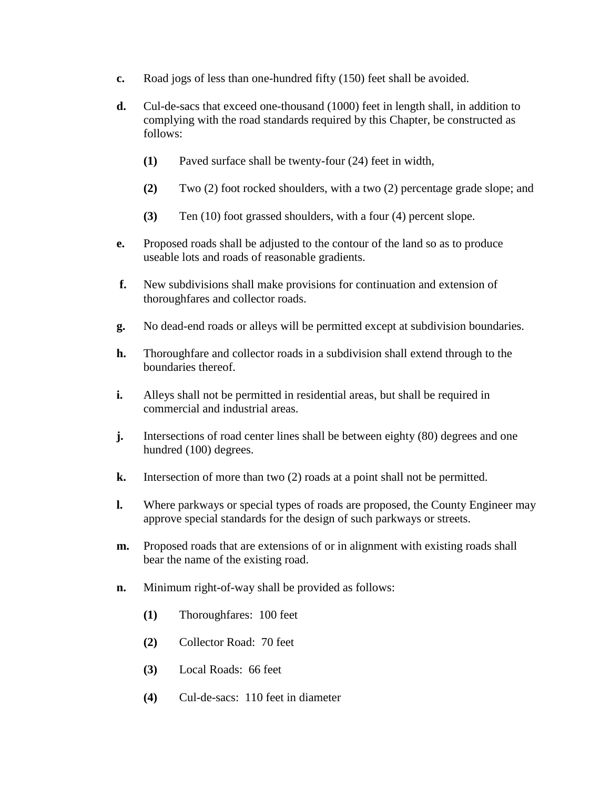- **c.** Road jogs of less than one-hundred fifty (150) feet shall be avoided.
- **d.** Cul-de-sacs that exceed one-thousand (1000) feet in length shall, in addition to complying with the road standards required by this Chapter, be constructed as follows:
	- **(1)** Paved surface shall be twenty-four (24) feet in width,
	- **(2)** Two (2) foot rocked shoulders, with a two (2) percentage grade slope; and
	- **(3)** Ten (10) foot grassed shoulders, with a four (4) percent slope.
- **e.** Proposed roads shall be adjusted to the contour of the land so as to produce useable lots and roads of reasonable gradients.
- **f.** New subdivisions shall make provisions for continuation and extension of thoroughfares and collector roads.
- **g.** No dead-end roads or alleys will be permitted except at subdivision boundaries.
- **h.** Thoroughfare and collector roads in a subdivision shall extend through to the boundaries thereof.
- **i.** Alleys shall not be permitted in residential areas, but shall be required in commercial and industrial areas.
- **j.** Intersections of road center lines shall be between eighty (80) degrees and one hundred (100) degrees.
- **k.** Intersection of more than two (2) roads at a point shall not be permitted.
- **l.** Where parkways or special types of roads are proposed, the County Engineer may approve special standards for the design of such parkways or streets.
- **m.** Proposed roads that are extensions of or in alignment with existing roads shall bear the name of the existing road.
- **n.** Minimum right-of-way shall be provided as follows:
	- **(1)** Thoroughfares: 100 feet
	- **(2)** Collector Road: 70 feet
	- **(3)** Local Roads: 66 feet
	- **(4)** Cul-de-sacs: 110 feet in diameter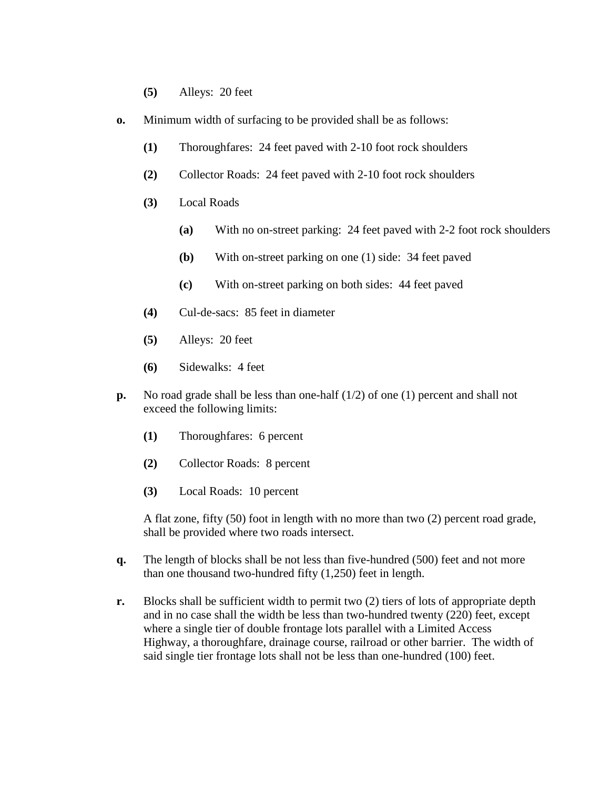- **(5)** Alleys: 20 feet
- **o.** Minimum width of surfacing to be provided shall be as follows:
	- **(1)** Thoroughfares: 24 feet paved with 2-10 foot rock shoulders
	- **(2)** Collector Roads: 24 feet paved with 2-10 foot rock shoulders
	- **(3)** Local Roads
		- **(a)** With no on-street parking: 24 feet paved with 2-2 foot rock shoulders
		- **(b)** With on-street parking on one (1) side: 34 feet paved
		- **(c)** With on-street parking on both sides: 44 feet paved
	- **(4)** Cul-de-sacs: 85 feet in diameter
	- **(5)** Alleys: 20 feet
	- **(6)** Sidewalks: 4 feet
- **p.** No road grade shall be less than one-half (1/2) of one (1) percent and shall not exceed the following limits:
	- **(1)** Thoroughfares: 6 percent
	- **(2)** Collector Roads: 8 percent
	- **(3)** Local Roads: 10 percent

A flat zone, fifty (50) foot in length with no more than two (2) percent road grade, shall be provided where two roads intersect.

- **q.** The length of blocks shall be not less than five-hundred (500) feet and not more than one thousand two-hundred fifty (1,250) feet in length.
- **r.** Blocks shall be sufficient width to permit two (2) tiers of lots of appropriate depth and in no case shall the width be less than two-hundred twenty (220) feet, except where a single tier of double frontage lots parallel with a Limited Access Highway, a thoroughfare, drainage course, railroad or other barrier. The width of said single tier frontage lots shall not be less than one-hundred (100) feet.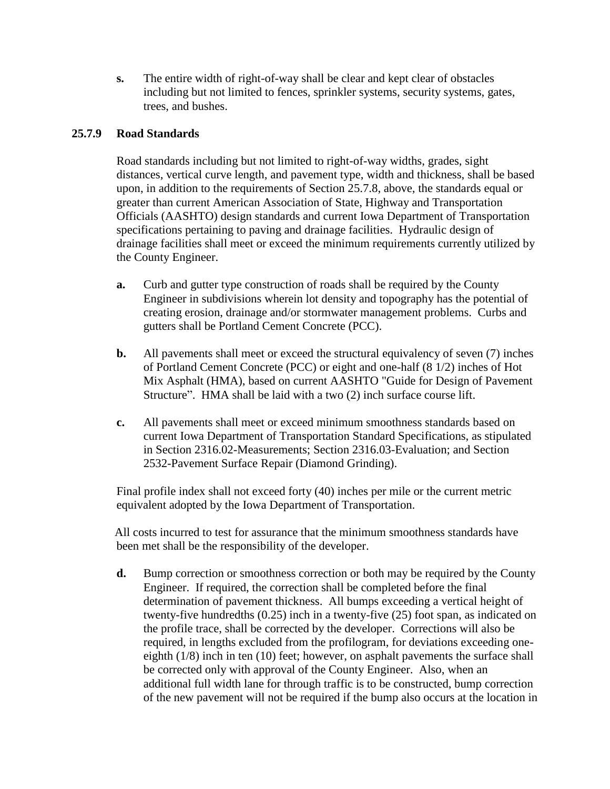**s.** The entire width of right-of-way shall be clear and kept clear of obstacles including but not limited to fences, sprinkler systems, security systems, gates, trees, and bushes.

## **25.7.9 Road Standards**

Road standards including but not limited to right-of-way widths, grades, sight distances, vertical curve length, and pavement type, width and thickness, shall be based upon, in addition to the requirements of Section 25.7.8, above, the standards equal or greater than current American Association of State, Highway and Transportation Officials (AASHTO) design standards and current Iowa Department of Transportation specifications pertaining to paving and drainage facilities. Hydraulic design of drainage facilities shall meet or exceed the minimum requirements currently utilized by the County Engineer.

- **a.** Curb and gutter type construction of roads shall be required by the County Engineer in subdivisions wherein lot density and topography has the potential of creating erosion, drainage and/or stormwater management problems. Curbs and gutters shall be Portland Cement Concrete (PCC).
- **b.** All pavements shall meet or exceed the structural equivalency of seven (7) inches of Portland Cement Concrete (PCC) or eight and one-half (8 1/2) inches of Hot Mix Asphalt (HMA), based on current AASHTO "Guide for Design of Pavement Structure". HMA shall be laid with a two (2) inch surface course lift.
- **c.** All pavements shall meet or exceed minimum smoothness standards based on current Iowa Department of Transportation Standard Specifications, as stipulated in Section 2316.02-Measurements; Section 2316.03-Evaluation; and Section 2532-Pavement Surface Repair (Diamond Grinding).

Final profile index shall not exceed forty (40) inches per mile or the current metric equivalent adopted by the Iowa Department of Transportation.

All costs incurred to test for assurance that the minimum smoothness standards have been met shall be the responsibility of the developer.

**d.** Bump correction or smoothness correction or both may be required by the County Engineer. If required, the correction shall be completed before the final determination of pavement thickness. All bumps exceeding a vertical height of twenty-five hundredths (0.25) inch in a twenty-five (25) foot span, as indicated on the profile trace, shall be corrected by the developer. Corrections will also be required, in lengths excluded from the profilogram, for deviations exceeding oneeighth (1/8) inch in ten (10) feet; however, on asphalt pavements the surface shall be corrected only with approval of the County Engineer. Also, when an additional full width lane for through traffic is to be constructed, bump correction of the new pavement will not be required if the bump also occurs at the location in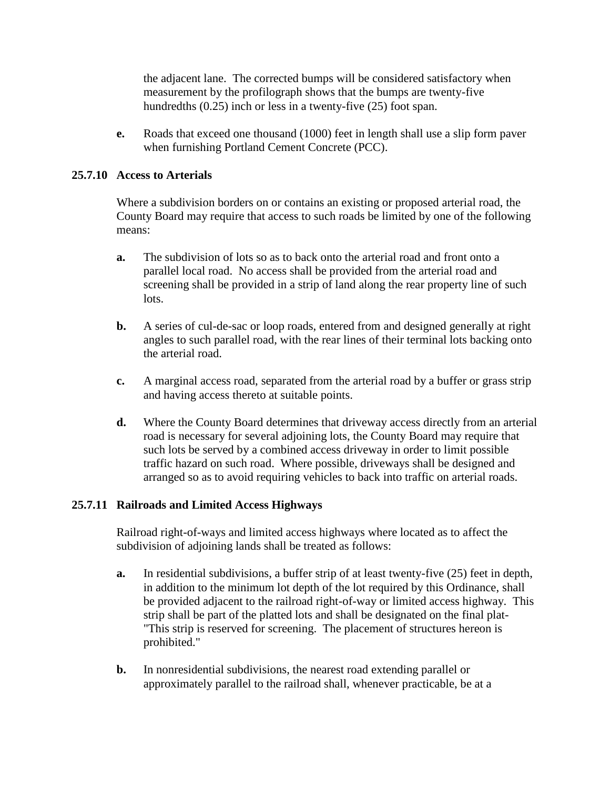the adjacent lane. The corrected bumps will be considered satisfactory when measurement by the profilograph shows that the bumps are twenty-five hundredths (0.25) inch or less in a twenty-five (25) foot span.

**e.** Roads that exceed one thousand (1000) feet in length shall use a slip form paver when furnishing Portland Cement Concrete (PCC).

#### **25.7.10 Access to Arterials**

Where a subdivision borders on or contains an existing or proposed arterial road, the County Board may require that access to such roads be limited by one of the following means:

- **a.** The subdivision of lots so as to back onto the arterial road and front onto a parallel local road. No access shall be provided from the arterial road and screening shall be provided in a strip of land along the rear property line of such lots.
- **b.** A series of cul-de-sac or loop roads, entered from and designed generally at right angles to such parallel road, with the rear lines of their terminal lots backing onto the arterial road.
- **c.** A marginal access road, separated from the arterial road by a buffer or grass strip and having access thereto at suitable points.
- **d.** Where the County Board determines that driveway access directly from an arterial road is necessary for several adjoining lots, the County Board may require that such lots be served by a combined access driveway in order to limit possible traffic hazard on such road. Where possible, driveways shall be designed and arranged so as to avoid requiring vehicles to back into traffic on arterial roads.

## **25.7.11 Railroads and Limited Access Highways**

Railroad right-of-ways and limited access highways where located as to affect the subdivision of adjoining lands shall be treated as follows:

- **a.** In residential subdivisions, a buffer strip of at least twenty-five (25) feet in depth, in addition to the minimum lot depth of the lot required by this Ordinance, shall be provided adjacent to the railroad right-of-way or limited access highway. This strip shall be part of the platted lots and shall be designated on the final plat- "This strip is reserved for screening. The placement of structures hereon is prohibited."
- **b.** In nonresidential subdivisions, the nearest road extending parallel or approximately parallel to the railroad shall, whenever practicable, be at a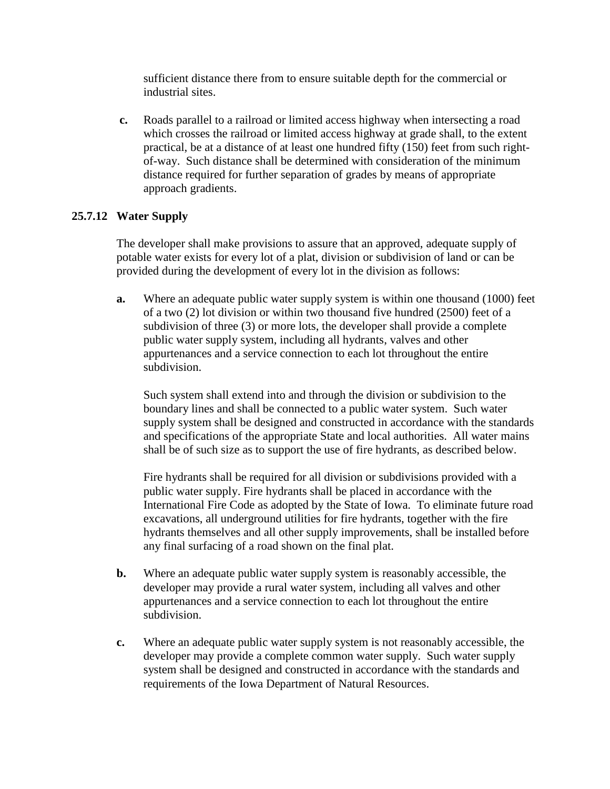sufficient distance there from to ensure suitable depth for the commercial or industrial sites.

**c.** Roads parallel to a railroad or limited access highway when intersecting a road which crosses the railroad or limited access highway at grade shall, to the extent practical, be at a distance of at least one hundred fifty (150) feet from such rightof-way. Such distance shall be determined with consideration of the minimum distance required for further separation of grades by means of appropriate approach gradients.

## **25.7.12 Water Supply**

The developer shall make provisions to assure that an approved, adequate supply of potable water exists for every lot of a plat, division or subdivision of land or can be provided during the development of every lot in the division as follows:

**a.** Where an adequate public water supply system is within one thousand (1000) feet of a two (2) lot division or within two thousand five hundred (2500) feet of a subdivision of three (3) or more lots, the developer shall provide a complete public water supply system, including all hydrants, valves and other appurtenances and a service connection to each lot throughout the entire subdivision.

Such system shall extend into and through the division or subdivision to the boundary lines and shall be connected to a public water system. Such water supply system shall be designed and constructed in accordance with the standards and specifications of the appropriate State and local authorities. All water mains shall be of such size as to support the use of fire hydrants, as described below.

Fire hydrants shall be required for all division or subdivisions provided with a public water supply. Fire hydrants shall be placed in accordance with the International Fire Code as adopted by the State of Iowa. To eliminate future road excavations, all underground utilities for fire hydrants, together with the fire hydrants themselves and all other supply improvements, shall be installed before any final surfacing of a road shown on the final plat.

- **b.** Where an adequate public water supply system is reasonably accessible, the developer may provide a rural water system, including all valves and other appurtenances and a service connection to each lot throughout the entire subdivision.
- **c.** Where an adequate public water supply system is not reasonably accessible, the developer may provide a complete common water supply. Such water supply system shall be designed and constructed in accordance with the standards and requirements of the Iowa Department of Natural Resources.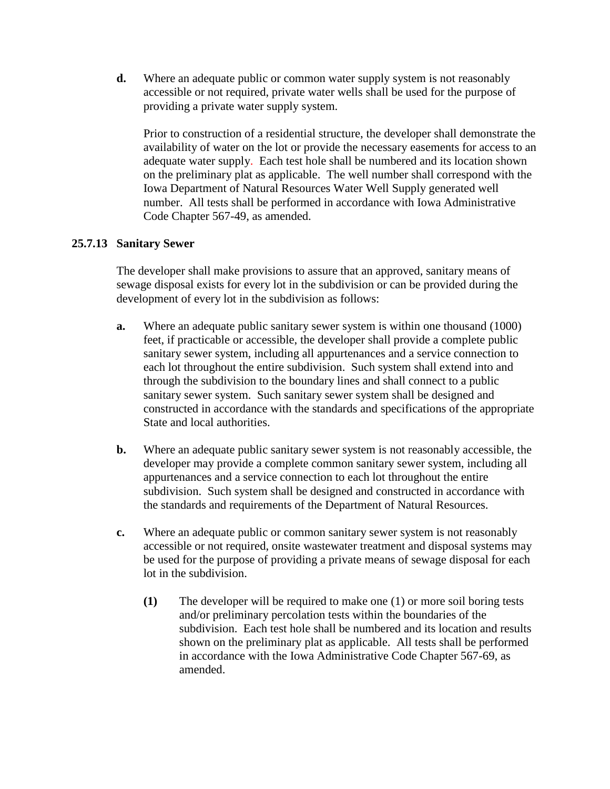**d.** Where an adequate public or common water supply system is not reasonably accessible or not required, private water wells shall be used for the purpose of providing a private water supply system.

Prior to construction of a residential structure, the developer shall demonstrate the availability of water on the lot or provide the necessary easements for access to an adequate water supply. Each test hole shall be numbered and its location shown on the preliminary plat as applicable. The well number shall correspond with the Iowa Department of Natural Resources Water Well Supply generated well number. All tests shall be performed in accordance with Iowa Administrative Code Chapter 567-49, as amended.

## **25.7.13 Sanitary Sewer**

The developer shall make provisions to assure that an approved, sanitary means of sewage disposal exists for every lot in the subdivision or can be provided during the development of every lot in the subdivision as follows:

- **a.** Where an adequate public sanitary sewer system is within one thousand (1000) feet, if practicable or accessible, the developer shall provide a complete public sanitary sewer system, including all appurtenances and a service connection to each lot throughout the entire subdivision. Such system shall extend into and through the subdivision to the boundary lines and shall connect to a public sanitary sewer system. Such sanitary sewer system shall be designed and constructed in accordance with the standards and specifications of the appropriate State and local authorities.
- **b.** Where an adequate public sanitary sewer system is not reasonably accessible, the developer may provide a complete common sanitary sewer system, including all appurtenances and a service connection to each lot throughout the entire subdivision. Such system shall be designed and constructed in accordance with the standards and requirements of the Department of Natural Resources.
- **c.** Where an adequate public or common sanitary sewer system is not reasonably accessible or not required, onsite wastewater treatment and disposal systems may be used for the purpose of providing a private means of sewage disposal for each lot in the subdivision.
	- **(1)** The developer will be required to make one (1) or more soil boring tests and/or preliminary percolation tests within the boundaries of the subdivision. Each test hole shall be numbered and its location and results shown on the preliminary plat as applicable. All tests shall be performed in accordance with the Iowa Administrative Code Chapter 567-69, as amended.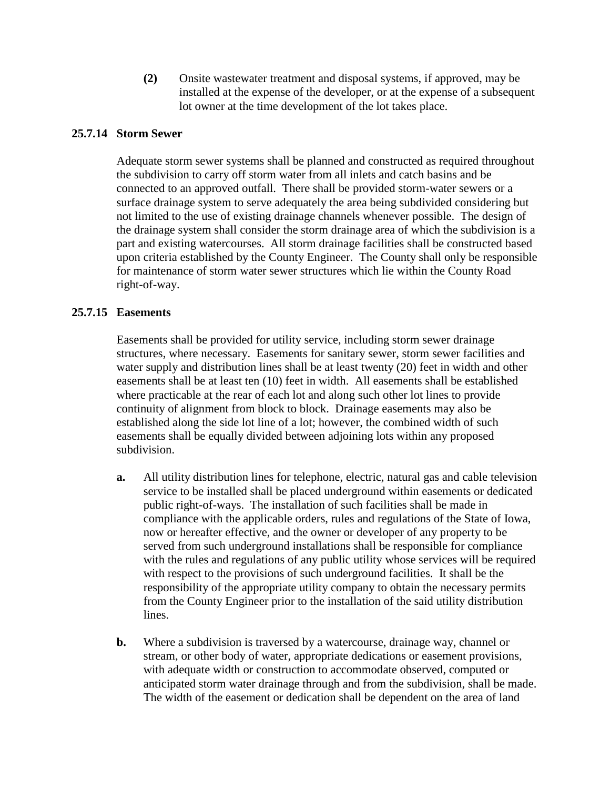**(2)** Onsite wastewater treatment and disposal systems, if approved, may be installed at the expense of the developer, or at the expense of a subsequent lot owner at the time development of the lot takes place.

## **25.7.14 Storm Sewer**

Adequate storm sewer systems shall be planned and constructed as required throughout the subdivision to carry off storm water from all inlets and catch basins and be connected to an approved outfall. There shall be provided storm-water sewers or a surface drainage system to serve adequately the area being subdivided considering but not limited to the use of existing drainage channels whenever possible. The design of the drainage system shall consider the storm drainage area of which the subdivision is a part and existing watercourses. All storm drainage facilities shall be constructed based upon criteria established by the County Engineer. The County shall only be responsible for maintenance of storm water sewer structures which lie within the County Road right-of-way.

### **25.7.15 Easements**

Easements shall be provided for utility service, including storm sewer drainage structures, where necessary. Easements for sanitary sewer, storm sewer facilities and water supply and distribution lines shall be at least twenty (20) feet in width and other easements shall be at least ten (10) feet in width. All easements shall be established where practicable at the rear of each lot and along such other lot lines to provide continuity of alignment from block to block. Drainage easements may also be established along the side lot line of a lot; however, the combined width of such easements shall be equally divided between adjoining lots within any proposed subdivision.

- **a.** All utility distribution lines for telephone, electric, natural gas and cable television service to be installed shall be placed underground within easements or dedicated public right-of-ways. The installation of such facilities shall be made in compliance with the applicable orders, rules and regulations of the State of Iowa, now or hereafter effective, and the owner or developer of any property to be served from such underground installations shall be responsible for compliance with the rules and regulations of any public utility whose services will be required with respect to the provisions of such underground facilities. It shall be the responsibility of the appropriate utility company to obtain the necessary permits from the County Engineer prior to the installation of the said utility distribution lines.
- **b.** Where a subdivision is traversed by a watercourse, drainage way, channel or stream, or other body of water, appropriate dedications or easement provisions, with adequate width or construction to accommodate observed, computed or anticipated storm water drainage through and from the subdivision, shall be made. The width of the easement or dedication shall be dependent on the area of land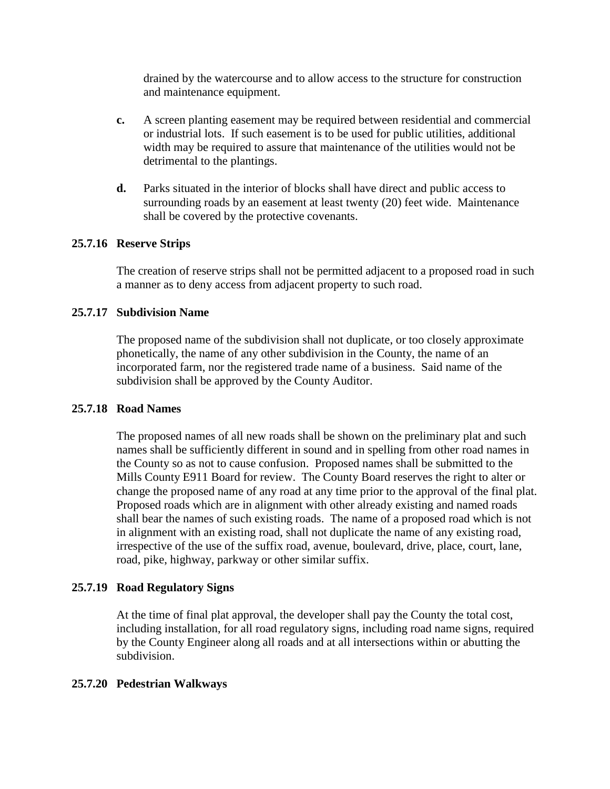drained by the watercourse and to allow access to the structure for construction and maintenance equipment.

- **c.** A screen planting easement may be required between residential and commercial or industrial lots. If such easement is to be used for public utilities, additional width may be required to assure that maintenance of the utilities would not be detrimental to the plantings.
- **d.** Parks situated in the interior of blocks shall have direct and public access to surrounding roads by an easement at least twenty (20) feet wide. Maintenance shall be covered by the protective covenants.

#### **25.7.16 Reserve Strips**

The creation of reserve strips shall not be permitted adjacent to a proposed road in such a manner as to deny access from adjacent property to such road.

### **25.7.17 Subdivision Name**

The proposed name of the subdivision shall not duplicate, or too closely approximate phonetically, the name of any other subdivision in the County, the name of an incorporated farm, nor the registered trade name of a business. Said name of the subdivision shall be approved by the County Auditor.

#### **25.7.18 Road Names**

The proposed names of all new roads shall be shown on the preliminary plat and such names shall be sufficiently different in sound and in spelling from other road names in the County so as not to cause confusion. Proposed names shall be submitted to the Mills County E911 Board for review. The County Board reserves the right to alter or change the proposed name of any road at any time prior to the approval of the final plat. Proposed roads which are in alignment with other already existing and named roads shall bear the names of such existing roads. The name of a proposed road which is not in alignment with an existing road, shall not duplicate the name of any existing road, irrespective of the use of the suffix road, avenue, boulevard, drive, place, court, lane, road, pike, highway, parkway or other similar suffix.

#### **25.7.19 Road Regulatory Signs**

At the time of final plat approval, the developer shall pay the County the total cost, including installation, for all road regulatory signs, including road name signs, required by the County Engineer along all roads and at all intersections within or abutting the subdivision.

#### **25.7.20 Pedestrian Walkways**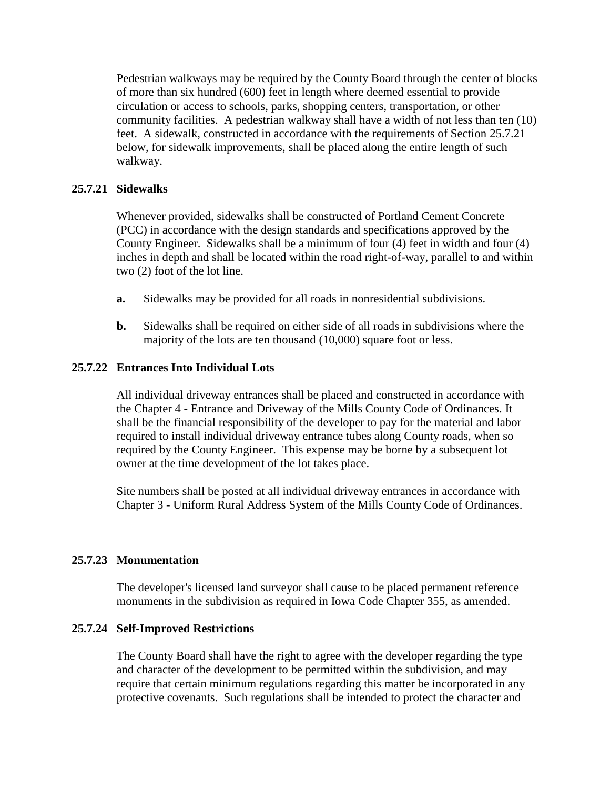Pedestrian walkways may be required by the County Board through the center of blocks of more than six hundred (600) feet in length where deemed essential to provide circulation or access to schools, parks, shopping centers, transportation, or other community facilities. A pedestrian walkway shall have a width of not less than ten (10) feet. A sidewalk, constructed in accordance with the requirements of Section 25.7.21 below, for sidewalk improvements, shall be placed along the entire length of such walkway.

#### **25.7.21 Sidewalks**

Whenever provided, sidewalks shall be constructed of Portland Cement Concrete (PCC) in accordance with the design standards and specifications approved by the County Engineer. Sidewalks shall be a minimum of four (4) feet in width and four (4) inches in depth and shall be located within the road right-of-way, parallel to and within two (2) foot of the lot line.

- **a.** Sidewalks may be provided for all roads in nonresidential subdivisions.
- **b.** Sidewalks shall be required on either side of all roads in subdivisions where the majority of the lots are ten thousand (10,000) square foot or less.

### **25.7.22 Entrances Into Individual Lots**

All individual driveway entrances shall be placed and constructed in accordance with the Chapter 4 - Entrance and Driveway of the Mills County Code of Ordinances. It shall be the financial responsibility of the developer to pay for the material and labor required to install individual driveway entrance tubes along County roads, when so required by the County Engineer. This expense may be borne by a subsequent lot owner at the time development of the lot takes place.

Site numbers shall be posted at all individual driveway entrances in accordance with Chapter 3 - Uniform Rural Address System of the Mills County Code of Ordinances.

#### **25.7.23 Monumentation**

The developer's licensed land surveyor shall cause to be placed permanent reference monuments in the subdivision as required in Iowa Code Chapter 355, as amended.

#### **25.7.24 Self-Improved Restrictions**

The County Board shall have the right to agree with the developer regarding the type and character of the development to be permitted within the subdivision, and may require that certain minimum regulations regarding this matter be incorporated in any protective covenants. Such regulations shall be intended to protect the character and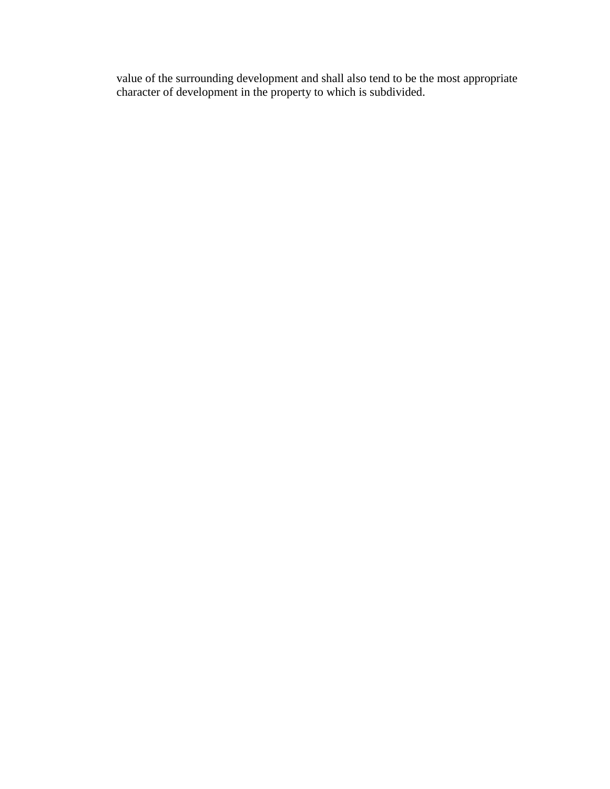value of the surrounding development and shall also tend to be the most appropriate character of development in the property to which is subdivided.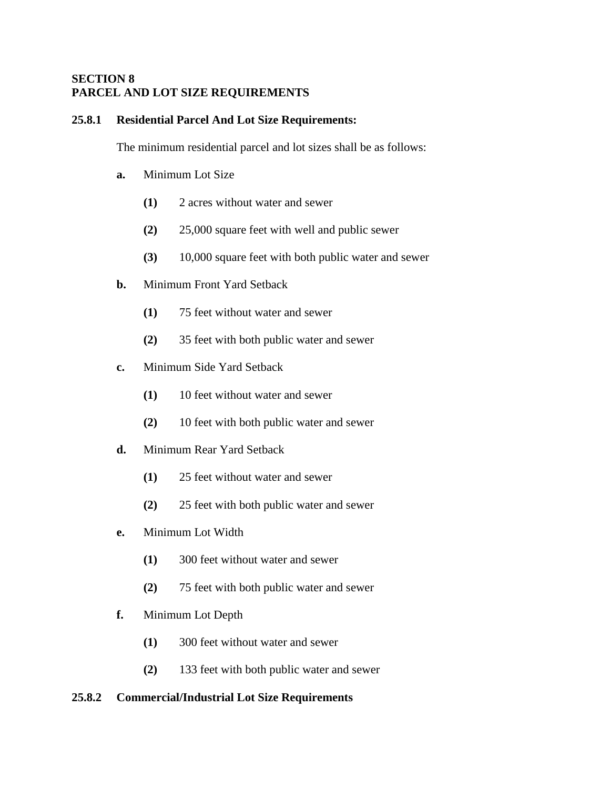### **SECTION 8 PARCEL AND LOT SIZE REQUIREMENTS**

#### **25.8.1 Residential Parcel And Lot Size Requirements:**

The minimum residential parcel and lot sizes shall be as follows:

- **a.** Minimum Lot Size
	- **(1)** 2 acres without water and sewer
	- **(2)** 25,000 square feet with well and public sewer
	- **(3)** 10,000 square feet with both public water and sewer
- **b.** Minimum Front Yard Setback
	- **(1)** 75 feet without water and sewer
	- **(2)** 35 feet with both public water and sewer
- **c.** Minimum Side Yard Setback
	- **(1)** 10 feet without water and sewer
	- **(2)** 10 feet with both public water and sewer
- **d.** Minimum Rear Yard Setback
	- **(1)** 25 feet without water and sewer
	- **(2)** 25 feet with both public water and sewer
- **e.** Minimum Lot Width
	- **(1)** 300 feet without water and sewer
	- **(2)** 75 feet with both public water and sewer
- **f.** Minimum Lot Depth
	- **(1)** 300 feet without water and sewer
	- **(2)** 133 feet with both public water and sewer

#### **25.8.2 Commercial/Industrial Lot Size Requirements**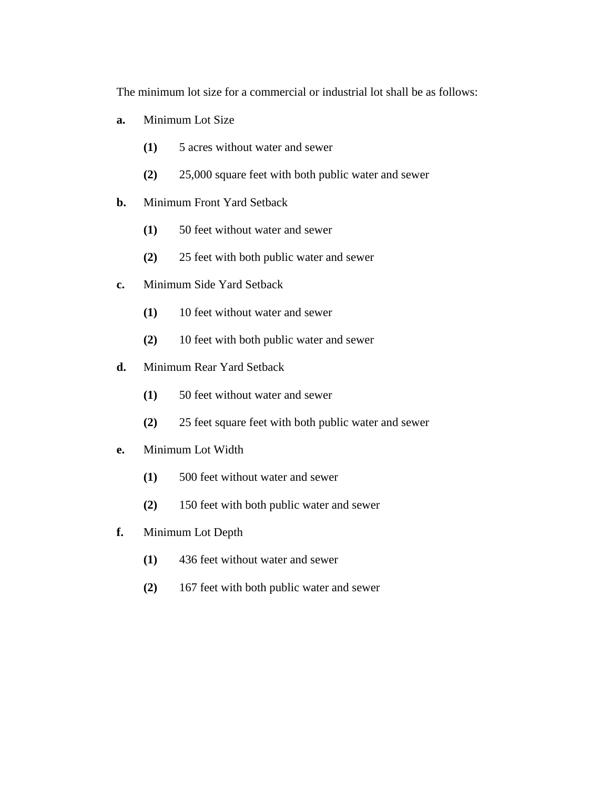The minimum lot size for a commercial or industrial lot shall be as follows:

- **a.** Minimum Lot Size
	- **(1)** 5 acres without water and sewer
	- **(2)** 25,000 square feet with both public water and sewer
- **b.** Minimum Front Yard Setback
	- **(1)** 50 feet without water and sewer
	- **(2)** 25 feet with both public water and sewer
- **c.** Minimum Side Yard Setback
	- **(1)** 10 feet without water and sewer
	- **(2)** 10 feet with both public water and sewer
- **d.** Minimum Rear Yard Setback
	- **(1)** 50 feet without water and sewer
	- **(2)** 25 feet square feet with both public water and sewer
- **e.** Minimum Lot Width
	- **(1)** 500 feet without water and sewer
	- **(2)** 150 feet with both public water and sewer
- **f.** Minimum Lot Depth
	- **(1)** 436 feet without water and sewer
	- **(2)** 167 feet with both public water and sewer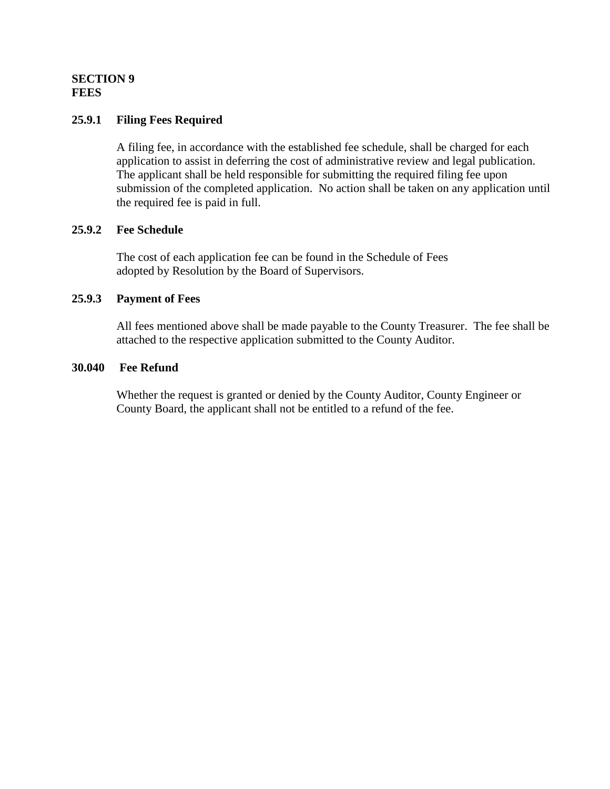### **SECTION 9 FEES**

### **25.9.1 Filing Fees Required**

A filing fee, in accordance with the established fee schedule, shall be charged for each application to assist in deferring the cost of administrative review and legal publication. The applicant shall be held responsible for submitting the required filing fee upon submission of the completed application. No action shall be taken on any application until the required fee is paid in full.

#### **25.9.2 Fee Schedule**

The cost of each application fee can be found in the Schedule of Fees adopted by Resolution by the Board of Supervisors.

#### **25.9.3 Payment of Fees**

All fees mentioned above shall be made payable to the County Treasurer. The fee shall be attached to the respective application submitted to the County Auditor.

#### **30.040 Fee Refund**

Whether the request is granted or denied by the County Auditor, County Engineer or County Board, the applicant shall not be entitled to a refund of the fee.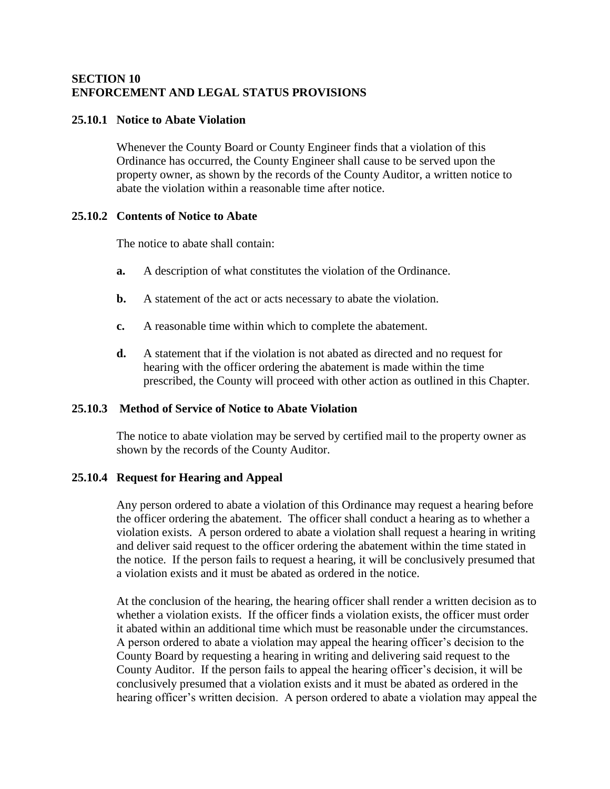### **SECTION 10 ENFORCEMENT AND LEGAL STATUS PROVISIONS**

### **25.10.1 Notice to Abate Violation**

Whenever the County Board or County Engineer finds that a violation of this Ordinance has occurred, the County Engineer shall cause to be served upon the property owner, as shown by the records of the County Auditor, a written notice to abate the violation within a reasonable time after notice.

#### **25.10.2 Contents of Notice to Abate**

The notice to abate shall contain:

- **a.** A description of what constitutes the violation of the Ordinance.
- **b.** A statement of the act or acts necessary to abate the violation.
- **c.** A reasonable time within which to complete the abatement.
- **d.** A statement that if the violation is not abated as directed and no request for hearing with the officer ordering the abatement is made within the time prescribed, the County will proceed with other action as outlined in this Chapter.

## **25.10.3 Method of Service of Notice to Abate Violation**

The notice to abate violation may be served by certified mail to the property owner as shown by the records of the County Auditor.

#### **25.10.4 Request for Hearing and Appeal**

Any person ordered to abate a violation of this Ordinance may request a hearing before the officer ordering the abatement. The officer shall conduct a hearing as to whether a violation exists. A person ordered to abate a violation shall request a hearing in writing and deliver said request to the officer ordering the abatement within the time stated in the notice. If the person fails to request a hearing, it will be conclusively presumed that a violation exists and it must be abated as ordered in the notice.

At the conclusion of the hearing, the hearing officer shall render a written decision as to whether a violation exists. If the officer finds a violation exists, the officer must order it abated within an additional time which must be reasonable under the circumstances. A person ordered to abate a violation may appeal the hearing officer's decision to the County Board by requesting a hearing in writing and delivering said request to the County Auditor. If the person fails to appeal the hearing officer's decision, it will be conclusively presumed that a violation exists and it must be abated as ordered in the hearing officer's written decision. A person ordered to abate a violation may appeal the